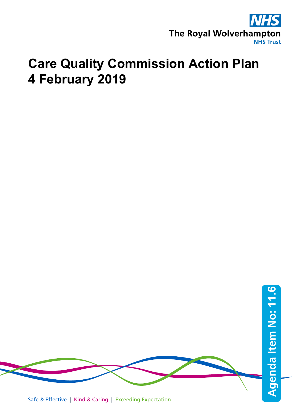

## **Care Quality Commission Action Plan 4 February 2019**

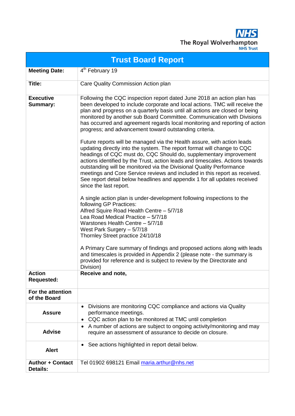**NHS** The Royal Wolverhampton

|                                            | <b>Trust Board Report</b>                                                                                                                                                                                                                                                                                                                                                                                                                                                                                                                                                                                                                                                                                                                                                                                                                                                                                                                                                                                                                                                                                                                                                                                                                                                                                                                                                                                                                                                                                                                                        |
|--------------------------------------------|------------------------------------------------------------------------------------------------------------------------------------------------------------------------------------------------------------------------------------------------------------------------------------------------------------------------------------------------------------------------------------------------------------------------------------------------------------------------------------------------------------------------------------------------------------------------------------------------------------------------------------------------------------------------------------------------------------------------------------------------------------------------------------------------------------------------------------------------------------------------------------------------------------------------------------------------------------------------------------------------------------------------------------------------------------------------------------------------------------------------------------------------------------------------------------------------------------------------------------------------------------------------------------------------------------------------------------------------------------------------------------------------------------------------------------------------------------------------------------------------------------------------------------------------------------------|
| <b>Meeting Date:</b>                       | 4 <sup>th</sup> February 19                                                                                                                                                                                                                                                                                                                                                                                                                                                                                                                                                                                                                                                                                                                                                                                                                                                                                                                                                                                                                                                                                                                                                                                                                                                                                                                                                                                                                                                                                                                                      |
| Title:                                     | Care Quality Commission Action plan                                                                                                                                                                                                                                                                                                                                                                                                                                                                                                                                                                                                                                                                                                                                                                                                                                                                                                                                                                                                                                                                                                                                                                                                                                                                                                                                                                                                                                                                                                                              |
| <b>Executive</b><br>Summary:               | Following the CQC inspection report dated June 2018 an action plan has<br>been developed to include corporate and local actions. TMC will receive the<br>plan and progress on a quarterly basis until all actions are closed or being<br>monitored by another sub Board Committee. Communication with Divisions<br>has occurred and agreement regards local monitoring and reporting of action<br>progress; and advancement toward outstanding criteria.<br>Future reports will be managed via the Health assure, with action leads<br>updating directly into the system. The report format will change to CQC<br>headings of CQC must do, CQC Should do, supplementary improvement<br>actions identified by the Trust, action leads and timescales. Actions towards<br>outstanding will be monitored via the Divisional Quality Performance<br>meetings and Core Service reviews and included in this report as received.<br>See report detail below headlines and appendix 1 for all updates received<br>since the last report.<br>A single action plan is under-development following inspections to the<br>following GP Practices:<br>Alfred Squire Road Health Centre - 5/7/18<br>Lea Road Medical Practice - 5/7/18<br>Warstones Health Centre - 5/7/18<br>West Park Surgery - 5/7/18<br>Thornley Street practice 24/10/18<br>A Primary Care summary of findings and proposed actions along with leads<br>and timescales is provided in Appendix 2 (please note - the summary is<br>provided for reference and is subject to review by the Directorate and |
| Action                                     | Division)<br><b>Receive and note.</b>                                                                                                                                                                                                                                                                                                                                                                                                                                                                                                                                                                                                                                                                                                                                                                                                                                                                                                                                                                                                                                                                                                                                                                                                                                                                                                                                                                                                                                                                                                                            |
| <b>Requested:</b>                          |                                                                                                                                                                                                                                                                                                                                                                                                                                                                                                                                                                                                                                                                                                                                                                                                                                                                                                                                                                                                                                                                                                                                                                                                                                                                                                                                                                                                                                                                                                                                                                  |
| For the attention<br>of the Board          |                                                                                                                                                                                                                                                                                                                                                                                                                                                                                                                                                                                                                                                                                                                                                                                                                                                                                                                                                                                                                                                                                                                                                                                                                                                                                                                                                                                                                                                                                                                                                                  |
| <b>Assure</b>                              | Divisions are monitoring CQC compliance and actions via Quality<br>$\bullet$<br>performance meetings.<br>CQC action plan to be monitored at TMC until completion<br>٠                                                                                                                                                                                                                                                                                                                                                                                                                                                                                                                                                                                                                                                                                                                                                                                                                                                                                                                                                                                                                                                                                                                                                                                                                                                                                                                                                                                            |
| <b>Advise</b>                              | A number of actions are subject to ongoing activity/monitoring and may<br>٠<br>require an assessment of assurance to decide on closure.                                                                                                                                                                                                                                                                                                                                                                                                                                                                                                                                                                                                                                                                                                                                                                                                                                                                                                                                                                                                                                                                                                                                                                                                                                                                                                                                                                                                                          |
| <b>Alert</b>                               | See actions highlighted in report detail below.<br>٠                                                                                                                                                                                                                                                                                                                                                                                                                                                                                                                                                                                                                                                                                                                                                                                                                                                                                                                                                                                                                                                                                                                                                                                                                                                                                                                                                                                                                                                                                                             |
| <b>Author + Contact</b><br><b>Details:</b> | Tel 01902 698121 Email maria.arthur@nhs.net                                                                                                                                                                                                                                                                                                                                                                                                                                                                                                                                                                                                                                                                                                                                                                                                                                                                                                                                                                                                                                                                                                                                                                                                                                                                                                                                                                                                                                                                                                                      |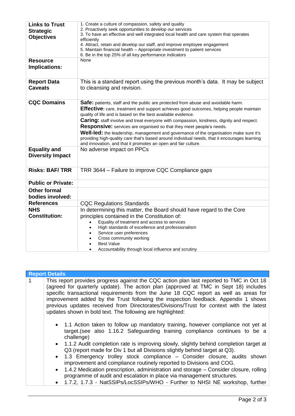| <b>Links to Trust</b><br><b>Strategic</b><br><b>Objectives</b> | 1. Create a culture of compassion, safety and quality<br>2. Proactively seek opportunities to develop our services<br>3. To have an effective and well integrated local health and care system that operates<br>efficiently<br>4. Attract, retain and develop our staff, and improve employee engagement<br>5. Maintain financial health - Appropriate investment to patient services<br>6. Be in the top 25% of all key performance indicators                                                                                                                                                                                                                                                          |
|----------------------------------------------------------------|----------------------------------------------------------------------------------------------------------------------------------------------------------------------------------------------------------------------------------------------------------------------------------------------------------------------------------------------------------------------------------------------------------------------------------------------------------------------------------------------------------------------------------------------------------------------------------------------------------------------------------------------------------------------------------------------------------|
| <b>Resource</b><br>Implications:                               | None                                                                                                                                                                                                                                                                                                                                                                                                                                                                                                                                                                                                                                                                                                     |
| <b>Report Data</b><br><b>Caveats</b>                           | This is a standard report using the previous month's data. It may be subject<br>to cleansing and revision.                                                                                                                                                                                                                                                                                                                                                                                                                                                                                                                                                                                               |
| <b>CQC Domains</b>                                             | Safe: patients, staff and the public are protected from abuse and avoidable harm.<br><b>Effective:</b> care, treatment and support achieves good outcomes, helping people maintain<br>quality of life and is based on the best available evidence.<br><b>Caring:</b> staff involve and treat everyone with compassion, kindness, dignity and respect.<br><b>Responsive:</b> services are organised so that they meet people's needs.<br><b>Well-led:</b> the leadership, management and governance of the organisation make sure it's<br>providing high-quality care that's based around individual needs, that it encourages learning<br>and innovation, and that it promotes an open and fair culture. |
| <b>Equality and</b><br><b>Diversity Impact</b>                 | No adverse impact on PPCs                                                                                                                                                                                                                                                                                                                                                                                                                                                                                                                                                                                                                                                                                |
| <b>Risks: BAF/TRR</b>                                          | TRR 3644 - Failure to improve CQC Compliance gaps                                                                                                                                                                                                                                                                                                                                                                                                                                                                                                                                                                                                                                                        |
| <b>Public or Private:</b>                                      |                                                                                                                                                                                                                                                                                                                                                                                                                                                                                                                                                                                                                                                                                                          |
| <b>Other formal</b><br>bodies involved:                        |                                                                                                                                                                                                                                                                                                                                                                                                                                                                                                                                                                                                                                                                                                          |
| <b>References</b>                                              | <b>CQC Regulations Standards</b>                                                                                                                                                                                                                                                                                                                                                                                                                                                                                                                                                                                                                                                                         |
| <b>NHS</b>                                                     | In determining this matter, the Board should have regard to the Core                                                                                                                                                                                                                                                                                                                                                                                                                                                                                                                                                                                                                                     |
| <b>Constitution:</b>                                           | principles contained in the Constitution of:                                                                                                                                                                                                                                                                                                                                                                                                                                                                                                                                                                                                                                                             |
|                                                                | Equality of treatment and access to services                                                                                                                                                                                                                                                                                                                                                                                                                                                                                                                                                                                                                                                             |
|                                                                | High standards of excellence and professionalism<br>Service user preferences                                                                                                                                                                                                                                                                                                                                                                                                                                                                                                                                                                                                                             |
|                                                                | Cross community working                                                                                                                                                                                                                                                                                                                                                                                                                                                                                                                                                                                                                                                                                  |
|                                                                | <b>Best Value</b>                                                                                                                                                                                                                                                                                                                                                                                                                                                                                                                                                                                                                                                                                        |
|                                                                | Accountability through local influence and scrutiny                                                                                                                                                                                                                                                                                                                                                                                                                                                                                                                                                                                                                                                      |

| <b>Report Details</b>                                                                                                                                                                                                                                                                                                                                                                                                                                                                                                                                                                                                                                                                                                                                          |
|----------------------------------------------------------------------------------------------------------------------------------------------------------------------------------------------------------------------------------------------------------------------------------------------------------------------------------------------------------------------------------------------------------------------------------------------------------------------------------------------------------------------------------------------------------------------------------------------------------------------------------------------------------------------------------------------------------------------------------------------------------------|
| This report provides progress against the CQC action plan last reported to TMC in Oct 18<br>(agreed for quarterly update). The action plan (approved at TMC in Sept 18) includes<br>specific transactional requirements from the June 18 CQC report as well as areas for<br>improvement added by the Trust following the inspection feedback. Appendix 1 shows<br>previous updates received from Directorates/Divisions/Trust for context with the latest<br>updates shown in bold text. The following are highlighted:                                                                                                                                                                                                                                        |
| • 1.1 Action taken to follow up mandatory training, however compliance not yet at<br>target. (see also 1.16.2 Safeguarding training compliance continues to be a<br>challenge)<br>• 1.1.2 Audit completion rate is improving slowly, slightly behind completion target at<br>Q3 (report made for Div 1 but all Divisions slightly behind target at Q3).<br>• 1.3 Emergency trolley stock compliance – Consider closure, audits shown<br>improvement and compliance routinely reported to Divisions and COG.<br>• 1.4.2 Medication prescription, administration and storage – Consider closure, rolling<br>programme of audit and escalation in place via management structures.<br>1.7.2, 1.7.3 - NatSSIPs/LocSSIPs/WHO - Further to NHSI NE workshop, further |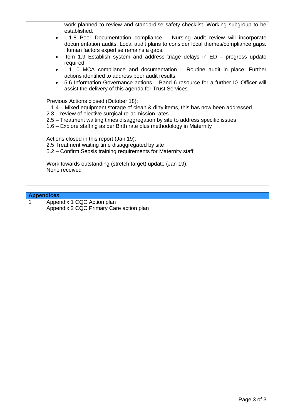| work planned to review and standardise safety checklist. Working subgroup to be<br>established.<br>• 1.1.8 Poor Documentation compliance – Nursing audit review will incorporate<br>documentation audits. Local audit plans to consider local themes/compliance gaps.<br>Human factors expertise remains a gaps.<br>Item 1.9 Establish system and address triage delays in ED - progress update<br>$\bullet$<br>required<br>• 1.1.10 MCA compliance and documentation – Routine audit in place. Further<br>actions identified to address poor audit results.<br>• 5.6 Information Governance actions - Band 6 resource for a further IG Officer will<br>assist the delivery of this agenda for Trust Services. |
|----------------------------------------------------------------------------------------------------------------------------------------------------------------------------------------------------------------------------------------------------------------------------------------------------------------------------------------------------------------------------------------------------------------------------------------------------------------------------------------------------------------------------------------------------------------------------------------------------------------------------------------------------------------------------------------------------------------|
| Previous Actions closed (October 18):                                                                                                                                                                                                                                                                                                                                                                                                                                                                                                                                                                                                                                                                          |
| 1.1.4 – Mixed equipment storage of clean & dirty items, this has now been addressed.<br>2.3 – review of elective surgical re-admission rates                                                                                                                                                                                                                                                                                                                                                                                                                                                                                                                                                                   |
| 2.5 - Treatment waiting times disaggregation by site to address specific issues<br>1.6 – Explore staffing as per Birth rate plus methodology in Maternity                                                                                                                                                                                                                                                                                                                                                                                                                                                                                                                                                      |
| Actions closed in this report (Jan 19):                                                                                                                                                                                                                                                                                                                                                                                                                                                                                                                                                                                                                                                                        |
| 2.5 Treatment waiting time disaggregated by site                                                                                                                                                                                                                                                                                                                                                                                                                                                                                                                                                                                                                                                               |
| 5.2 – Confirm Sepsis training requirements for Maternity staff                                                                                                                                                                                                                                                                                                                                                                                                                                                                                                                                                                                                                                                 |
| Work towards outstanding (stretch target) update (Jan 19):<br>None received                                                                                                                                                                                                                                                                                                                                                                                                                                                                                                                                                                                                                                    |
|                                                                                                                                                                                                                                                                                                                                                                                                                                                                                                                                                                                                                                                                                                                |

## **Appendices**

1 | Appendix 1 CQC Action plan Appendix 2 CQC Primary Care action plan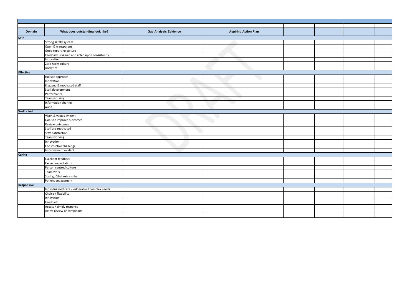| <b>Domain</b>    | What does outstanding look like?                 | <b>Gap Analysis Evidence</b> | <b>Aspiring Action Plan</b> |  |  |
|------------------|--------------------------------------------------|------------------------------|-----------------------------|--|--|
| Safe             |                                                  |                              |                             |  |  |
|                  | Strong safety system                             |                              |                             |  |  |
|                  | Open & transparent                               |                              |                             |  |  |
|                  | Good reporting culture                           |                              |                             |  |  |
|                  | Feedback is valued and acted upon consistently   |                              |                             |  |  |
|                  | Innovation                                       |                              |                             |  |  |
|                  | Zero harm culture                                |                              |                             |  |  |
|                  | Analytics                                        |                              |                             |  |  |
| <b>Effective</b> |                                                  |                              |                             |  |  |
|                  | Holistic approach                                |                              |                             |  |  |
|                  | Innovation                                       |                              |                             |  |  |
|                  | Engaged & motivated staff                        |                              |                             |  |  |
|                  | Staff development                                |                              |                             |  |  |
|                  | Performance                                      |                              |                             |  |  |
|                  | Team working                                     |                              |                             |  |  |
|                  | Information sharing                              |                              |                             |  |  |
|                  | Audit                                            |                              |                             |  |  |
| Well - Led       |                                                  |                              |                             |  |  |
|                  | Vison & values evident                           |                              |                             |  |  |
|                  | Goals to improve outcomes                        |                              |                             |  |  |
|                  | Review outcomes                                  |                              |                             |  |  |
|                  | Staff are motivated                              |                              |                             |  |  |
|                  | <b>Staff satisfaction</b>                        |                              |                             |  |  |
|                  | Team working                                     |                              |                             |  |  |
|                  | Innovation                                       |                              |                             |  |  |
|                  | Constructive challenge                           |                              |                             |  |  |
|                  | Improvement evident                              |                              |                             |  |  |
| <b>Caring</b>    |                                                  |                              |                             |  |  |
|                  | <b>Excellent feedback</b>                        |                              |                             |  |  |
|                  | <b>Exceed expectations</b>                       |                              |                             |  |  |
|                  | Person centred culture                           |                              |                             |  |  |
|                  | Team work                                        |                              |                             |  |  |
|                  | Staff go 'that extra mile'                       |                              |                             |  |  |
|                  | Patient engagement                               |                              |                             |  |  |
| Responsive       |                                                  |                              |                             |  |  |
|                  | Individualised care - vulnerable / complex needs |                              |                             |  |  |
|                  | Choice / flexibility                             |                              |                             |  |  |
|                  | Innovation                                       |                              |                             |  |  |
|                  | Feedback                                         |                              |                             |  |  |
|                  | Access / timely response                         |                              |                             |  |  |
|                  | Active review of complaints                      |                              |                             |  |  |
|                  |                                                  |                              |                             |  |  |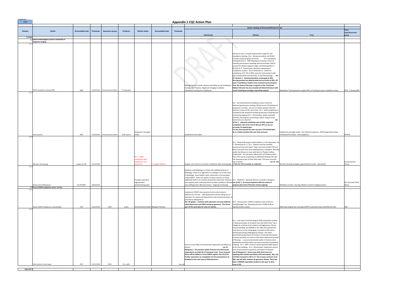| Annendix 1<br>2018         |                                                                            |                         |            |                                  |               |                                                            |                  |           | <b>Appendix 1 CQC Action Plan</b>                                                                                                                                                                                                                                                                                                                                                                                                                                                                                                                                            |                                                                                                                                                                                                                                                                                                                                                                                                                                                                                                                                                                                                                                                                                                                                                                                                                                                                                                                                                                                                                                                                                          |                                                                                                                       |                              |  |  |
|----------------------------|----------------------------------------------------------------------------|-------------------------|------------|----------------------------------|---------------|------------------------------------------------------------|------------------|-----------|------------------------------------------------------------------------------------------------------------------------------------------------------------------------------------------------------------------------------------------------------------------------------------------------------------------------------------------------------------------------------------------------------------------------------------------------------------------------------------------------------------------------------------------------------------------------------|------------------------------------------------------------------------------------------------------------------------------------------------------------------------------------------------------------------------------------------------------------------------------------------------------------------------------------------------------------------------------------------------------------------------------------------------------------------------------------------------------------------------------------------------------------------------------------------------------------------------------------------------------------------------------------------------------------------------------------------------------------------------------------------------------------------------------------------------------------------------------------------------------------------------------------------------------------------------------------------------------------------------------------------------------------------------------------------|-----------------------------------------------------------------------------------------------------------------------|------------------------------|--|--|
|                            |                                                                            |                         |            |                                  |               |                                                            |                  |           |                                                                                                                                                                                                                                                                                                                                                                                                                                                                                                                                                                              | <b>Action relating to Directorate/Division/Trust</b>                                                                                                                                                                                                                                                                                                                                                                                                                                                                                                                                                                                                                                                                                                                                                                                                                                                                                                                                                                                                                                     |                                                                                                                       | Trust                        |  |  |
| Domain                     | Action                                                                     | <b>Accountable lead</b> | Timescale  | Assurance group                  | Evidence      | <b>Stretch action</b>                                      | Accountable lead | Timescale | Directorate                                                                                                                                                                                                                                                                                                                                                                                                                                                                                                                                                                  | <b>Division</b>                                                                                                                                                                                                                                                                                                                                                                                                                                                                                                                                                                                                                                                                                                                                                                                                                                                                                                                                                                                                                                                                          | <b>Trust</b>                                                                                                          | Lead/Assurance<br>group      |  |  |
| 1.0 Safe                   | 1.1 Improve Hand Hygiene practice consistently in                          |                         |            |                                  |               |                                                            |                  |           |                                                                                                                                                                                                                                                                                                                                                                                                                                                                                                                                                                              |                                                                                                                                                                                                                                                                                                                                                                                                                                                                                                                                                                                                                                                                                                                                                                                                                                                                                                                                                                                                                                                                                          |                                                                                                                       |                              |  |  |
| 1.1.1                      | Diagnostic imaging:                                                        |                         |            |                                  |               |                                                            |                  |           |                                                                                                                                                                                                                                                                                                                                                                                                                                                                                                                                                                              |                                                                                                                                                                                                                                                                                                                                                                                                                                                                                                                                                                                                                                                                                                                                                                                                                                                                                                                                                                                                                                                                                          |                                                                                                                       |                              |  |  |
| 1.1.2                      | P/HH mandatory training 100%.                                              | <b>DMT</b>              |            | 31/05/2018 Directorate Gov Meet. | Training data |                                                            |                  |           | Management to review, cleanse and follow up red mandatory from the Head of Nursing in regards to this. Divisional<br>raining. ED, Theatres, Diagnostic Imaging to address<br>mandatory training non compliance                                                                                                                                                                                                                                                                                                                                                               | Division to set a 2 month improvement target for red<br>mandatory training. Dv1 - Divisional position red 92.6%,<br>nursing is however green at 95.5%. Dv 2 mandatory<br>training 92.8 Dv 3 - DMT:Mandatory Training a focus of<br>monthly performance meetings with Directorates held to<br>account for delivery against target, divisional position is<br>95.55% Dv 3 - Directorates: Monthly monitoring of<br>compliance in place. 20.12.18 Division 3 - Green for<br>compliance of IP, HH at 94%, areas for improvement with<br>plan notably Adult Communinity, VI and Dermatology. Jan<br>19 Division 1 - Divisional position unchanged at 92%.<br>Nursing position has deteriorated and currently at 94%. All<br>band 7 and Matron leaders have received communication<br>Medical Director has also emailed all Clinical Directors with<br>recent training percentages requesting support.                                                                                                                                                                                         | Mandatory Training leads to target offers of training to poor compliance areas.                                       | <b>IPCG - Training SME</b>   |  |  |
|                            | Audit practice                                                             | DMT                     |            | 31/05/2018 Directorate Gov Meet. | Audit reports | mplement oversight<br>audits                               |                  |           | mplement local audits                                                                                                                                                                                                                                                                                                                                                                                                                                                                                                                                                        | Dv1 - we track divisional compliance every month at<br>divisional governance meeting. Whilst we are 5% behind our<br>projection currently, we are in a better position than the<br>previous 2 years at this same time. Dv 2 - Audit compliance is<br>reviewed at the divisional monthly governance meetings and<br>monitoring ongoing Dv 3 - Directorates: Audits reviewed<br>monthly and progress monitoring in place. Support from<br>Governance as required<br>Jan<br>19 Div 1 - adjusted completion rate of 40%, expected<br>completion rate at the end of Q3 was 47% so we are<br>currently 7% behind plan.<br>For the same period last year we were 11% behind plan.<br>So in a better position this year than last year.                                                                                                                                                                                                                                                                                                                                                          | Implement oversight audits - Div 3 behind trajectory. QIPP programees being<br>introduced for medics - aid complaince | IP/IPCG                      |  |  |
| 1.1.                       |                                                                            |                         |            |                                  |               |                                                            |                  |           |                                                                                                                                                                                                                                                                                                                                                                                                                                                                                                                                                                              |                                                                                                                                                                                                                                                                                                                                                                                                                                                                                                                                                                                                                                                                                                                                                                                                                                                                                                                                                                                                                                                                                          |                                                                                                                       |                              |  |  |
|                            | Maintain cleaning logs                                                     | Surgery Dir MT          | 31/12/2018 |                                  |               | Dv 1 - 100%<br>ompliance with<br>ompletion and<br>surance. | Lengyel, Matron  |           | Surgery core service to monitor compliance with cleaning logs 1 TSAs for CCH currently on induction.                                                                                                                                                                                                                                                                                                                                                                                                                                                                         | Dv 1 - Head of Nursing to add to Matron 1:1 for discussion. Dv<br>2 - Monitored at 1-1 Dv 1 - Matron now has monthly<br>assurance from each band 7 lead. Less dust at both CCH and<br>New Cross sites now most building work is complete. Monthly<br>audits had shown an issue with dust on Theatre trolleys<br>underneath - this has been addressed in all Theatres apart<br>from CCH now by employing an additional floating TSA who<br>has cleaning as part of their daily tasks. CCH post currently<br>out to advert.<br>Jan 19 - Div                                                                                                                                                                                                                                                                                                                                                                                                                                                                                                                                                | Revised cleaning strategies approved last month - relaunched                                                          | Environmental<br>Group       |  |  |
| 1.1.5                      | Review safe staffing levels<br>1.2 Ensure COSHH compliance across services | Dir MT/DMT              | 30/04/2018 |                                  |               | Consider assurance<br>regards other<br>professional groups |                  |           | Medicine and Radiology to review safe staffing levels Dv 3 -<br>Radiology: There is an algorithm for staffing in all of the areas<br>in Radiology. Team leaders work coherently so no area goes<br>understaffed. There are options to close scanners or bring<br>additional staff in on overtime should the need arise. Demand  Dv 1 - Medicine - Biannual skill mix currently in progress.<br>and capacity work underway which includes workforce. Review Jan 19 Div 1 - bi-annual inpatient skill mix review in<br>afe staffing levels- Biannual review Ongoing monitoring | progress plus Grant Thornton review ongoing.                                                                                                                                                                                                                                                                                                                                                                                                                                                                                                                                                                                                                                                                                                                                                                                                                                                                                                                                                                                                                                             | Workforce review - Nursing, Medics to inform targeted action.                                                         | HR, Associate Chief<br>Nurse |  |  |
| 1.2.1                      | Assess COSHH compliance in wards/depts.                                    | HSO                     | 31/01/2018 | HSSG                             | Audits        | Environmental Audits Margaret Simcock                      |                  |           | Implement COSHH risk assessment and control actions -<br>Medical core service. - H&S department will be rolling out re-<br>education for wards and departments and recommunication of<br>procedures (Margaret.S)<br>Dec 18 update - continue with education via news bulletins, Dv 3 - Directorates: COSHH compliance part of Service<br>safety Rep forum and H&S training programme. This forms<br>part of the work plan for next 12 months.                                                                                                                                | Lead/Manager role. Awaiting outcome of H&S Audit to<br>identify further actions                                                                                                                                                                                                                                                                                                                                                                                                                                                                                                                                                                                                                                                                                                                                                                                                                                                                                                                                                                                                          | H&S audit programme covering COSHH to prioritise areas identified by CQC.                                             | HSO                          |  |  |
| 1.2.2<br><b>Appendix 1</b> | Directorates to action gaps.                                               | DMT                     | 31/12/2018 | HSSG                             | Re- audits    |                                                            |                  | Dec-18    | Carry out local H&S, environmental inspections and follow up   meeting. Dv 3 - DMT: receive/ review quarterly H&S reports<br>actions.<br>Jan 19<br>Margaret.S - GP practices within Primary Care Directorate<br>requested to provide list of chemicals used. Once received<br>these will be added to Trust COSHH register Due 31/1/19.<br>Further awareness on ocmpletion of risk assessments is to<br>beadded to the next issue of Risky Business.                                                                                                                          | Dv 1 - Last report received August 2018 meeting for quarter<br>1. Reduced number of incidents from Q4 (109 to 82). Top 3<br>categories continue to be violence and aggression, sharps,<br>manual handling. No RIDDOR in Q1. H&S self assessments -<br>local returns can be challenging, currently at 25% return.<br>Directorates being challenged by Division. CAS alerts<br>proactively being closed via Division. Environmental reports<br>received monthly; non-returns have been addressed by Head<br>of Nursing. Local environmental audits in theatres done<br>weekly plus monthly audits and communicated at leadership<br>at Div Gov meetings Dv 3 - Directorates: Implement actions<br>from environmental inspections and report to Division<br>Jan 19 Margaret S - Some issue with local areas not<br>updating their Health and Safety self-assessments. Slip, trip<br>and falls increased in Q3 to 17. Top 3 issues continue to be<br>Slip, trip and falls; Violence & agression; Sharps. There has<br>been 1 RIDDOR reportable incident in the year to date -<br>none in Q3. |                                                                                                                       |                              |  |  |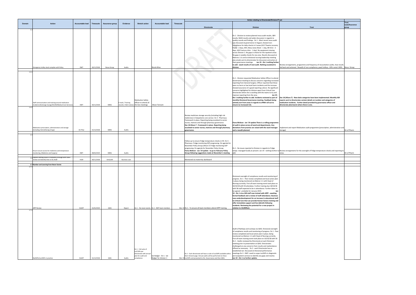| ust                                                                                                                                                                     |                |
|-------------------------------------------------------------------------------------------------------------------------------------------------------------------------|----------------|
|                                                                                                                                                                         | <b>Trust</b>   |
|                                                                                                                                                                         | Lead/Assurance |
| <b>Trust</b>                                                                                                                                                            | group          |
|                                                                                                                                                                         |                |
|                                                                                                                                                                         |                |
|                                                                                                                                                                         |                |
|                                                                                                                                                                         |                |
|                                                                                                                                                                         |                |
|                                                                                                                                                                         |                |
|                                                                                                                                                                         |                |
|                                                                                                                                                                         |                |
|                                                                                                                                                                         |                |
|                                                                                                                                                                         |                |
|                                                                                                                                                                         |                |
|                                                                                                                                                                         |                |
|                                                                                                                                                                         |                |
| Review arrangements, programme and frequency of resuscitation audits, how results<br>fed back and actioned. Reaudit of non compliance, paed trolleys - 83% revisit 100% | Resus Group    |
|                                                                                                                                                                         |                |
|                                                                                                                                                                         |                |
|                                                                                                                                                                         |                |
|                                                                                                                                                                         |                |
|                                                                                                                                                                         |                |
|                                                                                                                                                                         |                |
|                                                                                                                                                                         |                |
|                                                                                                                                                                         |                |
|                                                                                                                                                                         |                |
|                                                                                                                                                                         |                |
|                                                                                                                                                                         |                |
| Dec 18 (Alison.T) - New datix categories have been implemented. Monthly IGR                                                                                             |                |
| reports sent to directorates contain details on number and categories of                                                                                                |                |
| medication incidents. Further detail provided by governance officer and                                                                                                 |                |
| directorate pharmacist where there is one.                                                                                                                              |                |
|                                                                                                                                                                         |                |
|                                                                                                                                                                         |                |
|                                                                                                                                                                         |                |
|                                                                                                                                                                         |                |
|                                                                                                                                                                         |                |
|                                                                                                                                                                         |                |
|                                                                                                                                                                         |                |
| Implement and report Medication audit programme (prescription, administration and                                                                                       |                |
| storage)                                                                                                                                                                | Dir of Pharm   |
|                                                                                                                                                                         |                |
|                                                                                                                                                                         |                |
|                                                                                                                                                                         |                |
|                                                                                                                                                                         |                |
|                                                                                                                                                                         |                |
|                                                                                                                                                                         |                |
|                                                                                                                                                                         |                |
| Review arrangements for the oversight of fridge temperature checks and reporting to                                                                                     |                |
| areas.                                                                                                                                                                  | Dir of Pharm   |
|                                                                                                                                                                         |                |
|                                                                                                                                                                         |                |
|                                                                                                                                                                         |                |
|                                                                                                                                                                         |                |
|                                                                                                                                                                         |                |
|                                                                                                                                                                         |                |
|                                                                                                                                                                         |                |
|                                                                                                                                                                         |                |
|                                                                                                                                                                         |                |
|                                                                                                                                                                         |                |
|                                                                                                                                                                         |                |
|                                                                                                                                                                         |                |
|                                                                                                                                                                         |                |
|                                                                                                                                                                         |                |
|                                                                                                                                                                         |                |
|                                                                                                                                                                         |                |
|                                                                                                                                                                         |                |
|                                                                                                                                                                         |                |
|                                                                                                                                                                         |                |
|                                                                                                                                                                         |                |
|                                                                                                                                                                         |                |
|                                                                                                                                                                         |                |
|                                                                                                                                                                         |                |
|                                                                                                                                                                         |                |
|                                                                                                                                                                         |                |
|                                                                                                                                                                         |                |
|                                                                                                                                                                         |                |
|                                                                                                                                                                         |                |
|                                                                                                                                                                         |                |
|                                                                                                                                                                         |                |
|                                                                                                                                                                         |                |
|                                                                                                                                                                         |                |
|                                                                                                                                                                         |                |
|                                                                                                                                                                         |                |
|                                                                                                                                                                         |                |
|                                                                                                                                                                         |                |
|                                                                                                                                                                         |                |
|                                                                                                                                                                         |                |
|                                                                                                                                                                         |                |
|                                                                                                                                                                         |                |

|                |                                                                                                                |                         |            |                 |                      |                                                                                                      |                                                  |           |                                                                                                                                                                                                                                                                                                                                                                      | Action relating to Directorate/Division/Trust                                                                                                                                                                                                                                                                                                                                                                                                                                                                                                                                                                                                                                                                                                                                                                                                 |                                                                                                                                                                                                                                                                                 |                                      |
|----------------|----------------------------------------------------------------------------------------------------------------|-------------------------|------------|-----------------|----------------------|------------------------------------------------------------------------------------------------------|--------------------------------------------------|-----------|----------------------------------------------------------------------------------------------------------------------------------------------------------------------------------------------------------------------------------------------------------------------------------------------------------------------------------------------------------------------|-----------------------------------------------------------------------------------------------------------------------------------------------------------------------------------------------------------------------------------------------------------------------------------------------------------------------------------------------------------------------------------------------------------------------------------------------------------------------------------------------------------------------------------------------------------------------------------------------------------------------------------------------------------------------------------------------------------------------------------------------------------------------------------------------------------------------------------------------|---------------------------------------------------------------------------------------------------------------------------------------------------------------------------------------------------------------------------------------------------------------------------------|--------------------------------------|
| <b>Domain</b>  | Action                                                                                                         | <b>Accountable lead</b> | Timescale  | Assurance group | Evidence             | <b>Stretch action</b>                                                                                | <b>Accountable lead</b>                          | Timescale | <b>Directorate</b>                                                                                                                                                                                                                                                                                                                                                   | <b>Division</b>                                                                                                                                                                                                                                                                                                                                                                                                                                                                                                                                                                                                                                                                                                                                                                                                                               | <b>Trust</b>                                                                                                                                                                                                                                                                    | <b>Trust</b><br>Lead/Assura<br>group |
|                | mergency trolley stock complies with Policy                                                                    | DMT                     | 30/11/2018 | Resus Group     | Audits               |                                                                                                      | Nicola Wise                                      |           |                                                                                                                                                                                                                                                                                                                                                                      | Dv 1 - Division to review planned resus audit results, QRV<br>results, NAAS results and wider discussion in regards to<br>quality rounds and findings. Dv 1 - Most recent resus audit<br>was discussed at governance in August; showed non-<br>compliance for daily checks in 4 areas (A15 Theatre recovery<br>Paeds - 2 days, WEI, Mary Jones Ward - 1 day, B9 ICCU - 3<br>days, A26 Fracture clinic - 1 day). No equipment missing<br>across Division 1. No gaps in checks for the inpatient areas.<br>No gaps in weekly checks for any area. Results discussed at<br>Matrons 1:1s and at divisional nursing leadership meeting<br>plus emails sent to directorates for discussion and action at<br>their governance meetings. Jan 19 - Div 1 nothing further<br>to add - await results of next audit. Nothing escalated to<br>division.    | Review arrangements, programme and frequency of resuscitation audits, how results<br>fed back and actioned. Reaudit of non compliance, paed trolleys - 83% revisit 100% Resus Group                                                                                             |                                      |
| 1.4.1          |                                                                                                                |                         |            |                 |                      |                                                                                                      |                                                  |           |                                                                                                                                                                                                                                                                                                                                                                      |                                                                                                                                                                                                                                                                                                                                                                                                                                                                                                                                                                                                                                                                                                                                                                                                                                               |                                                                                                                                                                                                                                                                                 |                                      |
|                | Staff communication and training around medication<br>incidents (Discharge lounge/A5/A9/Medical Core Services) | DMT                     | 30/11/2018 | MMG             | E mails / Training   | <b>Medication Safety</b><br>Officer to attend all<br>records / Alert notices Div Gov meetings        | Alison Tennant                                   |           |                                                                                                                                                                                                                                                                                                                                                                      | Dv 1 - Division requested Medication Safety Officer to attend<br>Governance meeting to discuss concerns regarding increased<br>reporting from General Surgery. Officer reported that these<br>were no harm or low level harm incidents and the increase<br>showed assurance of a good reporting culture. No significant<br>concerns highlighted for division apart from Critical Care<br>directorate where she is working with the teams to try and<br>improve reporting from the area.<br>Jan 19 -<br>Div 1 nothing further to add. Incidents reviewed as part of<br>monthly Divisional Governance meeting. Feedback being<br>actively sort from areas in regards to ePMA roll out to<br>ensure no increased risk.                                                                                                                           | Dec 18 (Alison.T) - New datix categories have been implemented. Monthly IGR<br>eports sent to directorates contain details on number and categories of<br>medication incidents. Further detail provided by governance officer and<br>directorate pharmacist where there is one. |                                      |
|                | Medication prescription, administration and storage<br>(including chemotherapy drugs)                          | Dir Phar                | 31/12/2018 | MMG             | Audits               |                                                                                                      |                                                  |           | Review medicines storage security (including high risk<br>medicines) in Outpatients core service Dv 3 - Pharmacy:<br>Framework in place. Reporting being escalated to senior<br>nurses, matrons and through pharmacy governance.<br>Dec 18 Alison.T - Framework in place. Reporting being<br>escalated to senior nurses, matrons and through pharmacy<br>governance. | Fiona McKean - Jan '19 update There is a rolling programme<br>of audit in place across all ward and departments. Any<br>deviations from practice are raised with the ward manager<br>and a reaudit planned.                                                                                                                                                                                                                                                                                                                                                                                                                                                                                                                                                                                                                                   | Implement and report Medication audit programme (prescription, administration and<br>storage)                                                                                                                                                                                   | Dir of Pharm                         |
|                |                                                                                                                |                         |            |                 |                      |                                                                                                      |                                                  |           |                                                                                                                                                                                                                                                                                                                                                                      |                                                                                                                                                                                                                                                                                                                                                                                                                                                                                                                                                                                                                                                                                                                                                                                                                                               |                                                                                                                                                                                                                                                                                 |                                      |
|                | Ensure secure access for medicines and temperature<br>monitoring. (Medicine and Surgery)                       | DMT                     | 28/02/2019 | MMG             | Audits               |                                                                                                      |                                                  |           | Follow up to ensure fridge temperature checks in ED. Dv 3 -<br>Pharmacy: Fridge monitoring SOP progressing. On agenda for<br>November Policy Group (Alison.T) Fridge monitoring SOP<br>progressing. On agenda for November Policy Group.<br>Fiona.McKeon - Jan '19 update - to go to February Policy<br>Group following suggestions made at November's meeting       | Dv 1 - No issues reported to Division in regards to Fridge<br>add.                                                                                                                                                                                                                                                                                                                                                                                                                                                                                                                                                                                                                                                                                                                                                                            | temps -managed locally at present. Jan 19 - nothing further to Review arrangements for the oversight of fridge temperature checks and reporting to<br>areas.                                                                                                                    | Dir of Pharm                         |
|                | 1.6 Explore staffing issues in midwifery through Birth rate+<br>eview and identify links to SIs.HoM            | HoM                     | 30/11/2018 | DirGovM         | <b>Business case</b> |                                                                                                      |                                                  |           | Monitored via maternity dashboard                                                                                                                                                                                                                                                                                                                                    |                                                                                                                                                                                                                                                                                                                                                                                                                                                                                                                                                                                                                                                                                                                                                                                                                                               |                                                                                                                                                                                                                                                                                 |                                      |
|                | 1.7 Number and Learning from Never Events                                                                      |                         |            |                 |                      |                                                                                                      |                                                  |           |                                                                                                                                                                                                                                                                                                                                                                      |                                                                                                                                                                                                                                                                                                                                                                                                                                                                                                                                                                                                                                                                                                                                                                                                                                               |                                                                                                                                                                                                                                                                                 |                                      |
| 1.7.1<br>1.7.2 | <b>AfPP Review</b>                                                                                             | DivMT                   | 31/01/2019 | QSIG            | Report               |                                                                                                      | Dv 1 - No never events. Dv 1 - DMT team members  |           | Mar-19 Dv 1 - To ensure all team members attend AfPP training.                                                                                                                                                                                                                                                                                                       | Divisional oversight of compliance results and monitoring of<br>progress. Dv 1 - Peer review completed and local action plan<br>in place; being monitored via Matron 1:1 with Head of<br>Nursing currently. First all team training event took place on<br>10/10/18 with 56 attendees. Further training due 18/10/18<br>with 58 staff expected to be in attendance. Further dates to<br>be agreed - probably for January 2019.<br>Jan<br>19 - Div 1 circa 240 staff now trained with AfPP - awaiting<br>formal feedback and a review of staff attendance. Business<br>case underdevelopment for an increase in educational staff<br>to Critical Care that can provide Human factors training and<br>offer immediate support and live debriefs following<br>incidents. Reviewing the potential for a new project in<br>relation to 10,000feet. |                                                                                                                                                                                                                                                                                 |                                      |
|                | NatSSIPs/LocSSIPs in practice                                                                                  | DivMT                   | 31/12/2018 | QSIG            | Audits               | Dv 1 - Full suite of<br>LoCCSIPs per<br>directorate with annual<br>plan for audit and<br>compliance. | Ian Badger - Dv 1 - Ian<br>Badger for division 1 |           | Dv 1 - Each directorate will have a suite of LocSSIPS available within<br>their intranet page. Annual audits will be performed on these<br>Mar-19 LocSSIPs and presented to Div. Governance and then QSIG.                                                                                                                                                           | Audit of NatSsips and LocSsips via QSIG. Divisional oversight<br>of compliance results and monitoring of progress. Dv 1 - Peer<br>review completed and local action plan in place; being<br>monitored via Matron 1:1 with Head of Nursing currently.<br>First all team training event took place on 10/10/18 with 56<br>Dv 1 - Audits reviewed by Directorate at each Divisional<br>meeting prior to presentation at QSIG. Directorates<br>challenged on any concerns from results and reattendance<br>offered as necessary. Dv 2 - each Directorate has an<br>established set. Discussed at Divisional performance<br>meetings.Dv 3 - DMT: need to scope LocSSIPs in diagnostic<br>and outpatient services to identify any gaps and resolve.<br>Jan 19 - Div 1 no further update.                                                            |                                                                                                                                                                                                                                                                                 |                                      |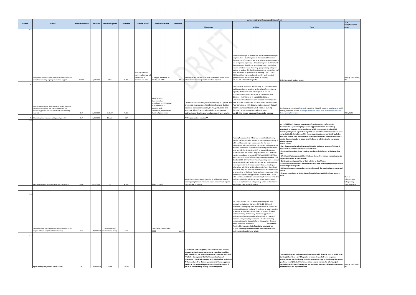| ust                                                                                                                                                                                                                                                                                                                                                                                                                                                                                                                                                                                                                                                                                                                                                                                                                                                                                                                                                                                                                                                                                                                                                                                                                                                                                                                                                            |                                                            |
|----------------------------------------------------------------------------------------------------------------------------------------------------------------------------------------------------------------------------------------------------------------------------------------------------------------------------------------------------------------------------------------------------------------------------------------------------------------------------------------------------------------------------------------------------------------------------------------------------------------------------------------------------------------------------------------------------------------------------------------------------------------------------------------------------------------------------------------------------------------------------------------------------------------------------------------------------------------------------------------------------------------------------------------------------------------------------------------------------------------------------------------------------------------------------------------------------------------------------------------------------------------------------------------------------------------------------------------------------------------|------------------------------------------------------------|
|                                                                                                                                                                                                                                                                                                                                                                                                                                                                                                                                                                                                                                                                                                                                                                                                                                                                                                                                                                                                                                                                                                                                                                                                                                                                                                                                                                | <b>Trust</b><br>Lead/Assurance                             |
| <b>Trust</b>                                                                                                                                                                                                                                                                                                                                                                                                                                                                                                                                                                                                                                                                                                                                                                                                                                                                                                                                                                                                                                                                                                                                                                                                                                                                                                                                                   | group                                                      |
|                                                                                                                                                                                                                                                                                                                                                                                                                                                                                                                                                                                                                                                                                                                                                                                                                                                                                                                                                                                                                                                                                                                                                                                                                                                                                                                                                                |                                                            |
| Undertake safety culture survey.                                                                                                                                                                                                                                                                                                                                                                                                                                                                                                                                                                                                                                                                                                                                                                                                                                                                                                                                                                                                                                                                                                                                                                                                                                                                                                                               | Nursing and Quality,<br>ΗR                                 |
|                                                                                                                                                                                                                                                                                                                                                                                                                                                                                                                                                                                                                                                                                                                                                                                                                                                                                                                                                                                                                                                                                                                                                                                                                                                                                                                                                                |                                                            |
| Develop system to enable live audit reporting. Establish resource requirement for HF<br>training/expertise at RWT. Nursing audit review. Local audit plans to consider local                                                                                                                                                                                                                                                                                                                                                                                                                                                                                                                                                                                                                                                                                                                                                                                                                                                                                                                                                                                                                                                                                                                                                                                   |                                                            |
| themes/compliance gaps.                                                                                                                                                                                                                                                                                                                                                                                                                                                                                                                                                                                                                                                                                                                                                                                                                                                                                                                                                                                                                                                                                                                                                                                                                                                                                                                                        | HGLS/QSIG                                                  |
|                                                                                                                                                                                                                                                                                                                                                                                                                                                                                                                                                                                                                                                                                                                                                                                                                                                                                                                                                                                                                                                                                                                                                                                                                                                                                                                                                                |                                                            |
| Jan 19 F Pickford - Develop programme of routine audit of safeguarding<br>documentation (prioritising high use areas) (Fiona Pickford - Jan update)<br>MCA/Audit in progress across ward areas which commenced October 2018.<br>Awaiting findings and report January 2019. The third MCA and Dols audit has been<br>completed in 16 clinical areas. This shows a continued poor working knowledge<br>from staff around Dols, Particularly in relation to whether a person has to have a<br>mental disorder in order to apply for a DolS and in relation to who can assess<br>mental capacity.<br><b>Actions taken:</b><br>• Fact sheet regarding what is a mental disorder and other aspects of MCA and<br>Dols developed and disseminated to ward areas.<br>• Continued bespoke training 1 to 1 on ward and clinical areas by Safeguarding<br>staff.<br>. Weekly staff attendance at West Park and Cannock by named nurses to provide<br>support and advice in clinical areas.<br>. Continued weekly reporting of Dols activity to Chief Nurse.<br>. Continued bi weekly check and challenge with local authority regarding status of<br>outstanding Dols requests.<br>. MCA and Dols continues to be monitored through the creating best practice work<br>stream.<br>· Planned attendance at Senior Nurse forum in February 2019 to keep issues in<br>focus. | Head of<br>Safeguarding/<br>Safeguarding<br>Steering group |
|                                                                                                                                                                                                                                                                                                                                                                                                                                                                                                                                                                                                                                                                                                                                                                                                                                                                                                                                                                                                                                                                                                                                                                                                                                                                                                                                                                |                                                            |
|                                                                                                                                                                                                                                                                                                                                                                                                                                                                                                                                                                                                                                                                                                                                                                                                                                                                                                                                                                                                                                                                                                                                                                                                                                                                                                                                                                |                                                            |
| Trust to identify and undertake a Culture survey with financial year 2018/19. NSF -<br>Nursing (Adam Race - Jan '19 update) In terms of update from a corporate<br>perspective we are developing Pulse Surveys with a view to developing the survey<br>questions over Q4 to test the temperature around morale etc. We have just<br>concluded the 2018 staff survey and are reviewing results - full benchmark results<br>for the Division are expected in Feb.                                                                                                                                                                                                                                                                                                                                                                                                                                                                                                                                                                                                                                                                                                                                                                                                                                                                                                | Nursing and Quality,<br>HR                                 |

|        |                                                                                                                                                                                        |                         |            |                                               |          |                                                                                       |                                                                                                                                                           |                  |                                                                                                                                                                                                                                                                                                                                                                                                                                                                                               | Action relating to Directorate/Division/Trust                                                                                                                                                                                                                                                                                                                                                                                                                                                                                                                                                                                                                                                                                                                                                                                                                                                                                                                                                                                                                                                                                                                                                                                                          |                                                                                                                                                                                                                                                                                                                                                                                                                                                                                                                                                                                                                                                                                                                                                                                                                                                                                                                                                                                                                                                                                                                                                                                                                                                                                                                                                        |
|--------|----------------------------------------------------------------------------------------------------------------------------------------------------------------------------------------|-------------------------|------------|-----------------------------------------------|----------|---------------------------------------------------------------------------------------|-----------------------------------------------------------------------------------------------------------------------------------------------------------|------------------|-----------------------------------------------------------------------------------------------------------------------------------------------------------------------------------------------------------------------------------------------------------------------------------------------------------------------------------------------------------------------------------------------------------------------------------------------------------------------------------------------|--------------------------------------------------------------------------------------------------------------------------------------------------------------------------------------------------------------------------------------------------------------------------------------------------------------------------------------------------------------------------------------------------------------------------------------------------------------------------------------------------------------------------------------------------------------------------------------------------------------------------------------------------------------------------------------------------------------------------------------------------------------------------------------------------------------------------------------------------------------------------------------------------------------------------------------------------------------------------------------------------------------------------------------------------------------------------------------------------------------------------------------------------------------------------------------------------------------------------------------------------------|--------------------------------------------------------------------------------------------------------------------------------------------------------------------------------------------------------------------------------------------------------------------------------------------------------------------------------------------------------------------------------------------------------------------------------------------------------------------------------------------------------------------------------------------------------------------------------------------------------------------------------------------------------------------------------------------------------------------------------------------------------------------------------------------------------------------------------------------------------------------------------------------------------------------------------------------------------------------------------------------------------------------------------------------------------------------------------------------------------------------------------------------------------------------------------------------------------------------------------------------------------------------------------------------------------------------------------------------------------|
| Domain | <b>Action</b>                                                                                                                                                                          | <b>Accountable lead</b> | Timescale  | Assurance group                               | Evidence | <b>Stretch action</b>                                                                 | <b>Accountable lead</b>                                                                                                                                   | <b>Timescale</b> | <b>Directorate</b>                                                                                                                                                                                                                                                                                                                                                                                                                                                                            | <b>Division</b>                                                                                                                                                                                                                                                                                                                                                                                                                                                                                                                                                                                                                                                                                                                                                                                                                                                                                                                                                                                                                                                                                                                                                                                                                                        | <b>Trust</b>                                                                                                                                                                                                                                                                                                                                                                                                                                                                                                                                                                                                                                                                                                                                                                                                                                                                                                                                                                                                                                                                                                                                                                                                                                                                                                                                           |
| 1.7.3  | Review WHO checklist use in theatres and interventional<br>procedures including ongoing educational support.                                                                           | DivMT                   | 30/08/2018 | QSIG                                          | Audits   | Dv 1 - Qualitative<br>audit results show ful<br>compliance to<br>checklist and brief. | Lengyel, Matron & M.<br>Ahudja, CD. DMT                                                                                                                   |                  | ivestigate and address WHO non-compliance issues across<br>Mar-19 relevant Directorates (notably theatres NX, CCH.                                                                                                                                                                                                                                                                                                                                                                            | Divisional oversight of compliance results and monitoring of<br>progress. Dv 1 - Quarterly results discussed at Divisional<br>Governance in October - main issue is in regards to the sign in<br>not being done separately - it has been agreed that the WHO<br>documentation should now be reviewed and amended to<br>provide a further focus. A working group is being set up by<br>Matron to lead on this. Further discussion on completion n of<br>draft document to go to Div. Gov meeting. Dv 3 - DMT:<br>WHO checklist returns gathered monthly and reported<br>quarterly to SIG by Divisional Heads of Nursing.<br>lan 19 - Div 1 no further update                                                                                                                                                                                                                                                                                                                                                                                                                                                                                                                                                                                            | Indertake safety culture survey.                                                                                                                                                                                                                                                                                                                                                                                                                                                                                                                                                                                                                                                                                                                                                                                                                                                                                                                                                                                                                                                                                                                                                                                                                                                                                                                       |
|        | Identify causes of poor documentation including HF and<br>redress (including fluid and nutritional records, re-<br>positioning, patient care and treatment, care planning<br>records). | <b>DMT</b>              | 31/05/2018 | DivGovM                                       | Audits   |                                                                                       | Audit/monitor<br>documentation<br>compliance in ED, Medical<br>core service Dv 2 -<br>Monthly audit<br>undertaken, reported the<br>divisional governance. |                  | Undertake care pathway review (including ED system and how to order stamps and to share audit results locally.<br>processes) to understand challenges/barriers. Outline<br>expected standards via SOPs, training, induction and<br>appraisal. Identify and undertake local prospective<br>audits of records with prompt/live reporting of results.                                                                                                                                            | Performance oversight monitoring of Documentation<br>audit compliance. Monitor action plans from external<br>reports, HF reviews and action plans in ED. Dv 1 -<br>Documentation audit discussed at Governance in<br>October - main issue is in regards to stamps.<br>Communication has been sent to each directorate for<br>Poor compliance with documentation evident through<br>Health assure dashboard which Head of Nursing<br>discusses as necessary with relevant areas.<br>Jan 19 - Div 1 main issue continues to be stamps.                                                                                                                                                                                                                                                                                                                                                                                                                                                                                                                                                                                                                                                                                                                   | Develop system to enable live audit reporting. Establish resource requirement for HF<br>training/expertise at RWT. Nursing audit review. Local audit plans to consider local<br>hemes/compliance gaps.                                                                                                                                                                                                                                                                                                                                                                                                                                                                                                                                                                                                                                                                                                                                                                                                                                                                                                                                                                                                                                                                                                                                                 |
|        | 1.9 Establish system and address triage delays in ED.                                                                                                                                  | DMT                     | 31/05/2018 | DGovM                                         | SOP      |                                                                                       |                                                                                                                                                           |                  | ** Progress update required**                                                                                                                                                                                                                                                                                                                                                                                                                                                                 |                                                                                                                                                                                                                                                                                                                                                                                                                                                                                                                                                                                                                                                                                                                                                                                                                                                                                                                                                                                                                                                                                                                                                                                                                                                        |                                                                                                                                                                                                                                                                                                                                                                                                                                                                                                                                                                                                                                                                                                                                                                                                                                                                                                                                                                                                                                                                                                                                                                                                                                                                                                                                                        |
| 1.10   | Mental Capacity Act documentation and compliance.                                                                                                                                      | HoSG                    | 31/01/2019 | SSG                                           | Audits   |                                                                                       | Fiona Pickford                                                                                                                                            |                  | Medical and Maternity core service to address MCA/DoLs<br>raining compliance. Review and assure on staff training and<br>ompetence in Surgery.                                                                                                                                                                                                                                                                                                                                                | Training Needs Analysis (TNA) was completed to identify<br>specific staff groups who needed to complete the training. 7.<br>MCA and DoLs training is incorporated in the level 2<br>safeguarding adult and children's eLearning package which is<br>available on kite site. Five additional training sessions have<br>been provided in September 2017 by an outside speaker<br>Susan Lassetter- MCA/DoLs Project Worker. MCA and Dols<br>training compliance is now at 97.7% (Sept 2018) MCA/DoLs<br>was promoted on the Safeguarding Awareness week on 2nd<br>October 2018. 12. Staff from the safeguarding team to be out<br>on the key wards daily asking if there are any patients in tag<br>bays in particular that would warrant DoLs. A meeting as<br>taken place with Sister and the Dementia Nurse Consultant<br>on C22 on ways the staff can complete the DoLS applications<br>when working in the bays. There has been an increase in the<br>number of urgent DoLs applications received from C22.15.<br>MCA and DoLs audit to be completed by November 2018. The<br>staff group includes all clinical front facing staff so would<br>need to complete level 2 safeguarding adults and children's e-<br>learning package available on kite. | Jan 19 F Pickford - Develop programme of routine audit of safeguarding<br>documentation (prioritising high use areas) (Fiona Pickford - Jan update)<br>MCA/Audit in progress across ward areas which commenced October 2018.<br>Awaiting findings and report January 2019. The third MCA and Dols audit has been<br>completed in 16 clinical areas. This shows a continued poor working knowledge<br>from staff around Dols, Particularly in relation to whether a person has to have a<br>nental disorder in order to apply for a DolS and in relation to who can assess<br>mental capacity.<br><b>Actions taken:</b><br>Fact sheet regarding what is a mental disorder and other aspects of MCA and<br>Dols developed and disseminated to ward areas.<br>Continued bespoke training 1 to 1 on ward and clinical areas by Safeguarding<br>staff.<br><b>Weekly staff attendance at West Park and Cannock by named nurses to provide</b><br>support and advice in clinical areas.<br>Continued weekly reporting of Dols activity to Chief Nurse.<br>Continued bi weekly check and challenge with local authority regarding status of<br>outstanding Dols requests.<br>MCA and Dols continues to be monitored through the creating best practice work<br>stream.<br>Planned attendance at Senior Nurse forum in February 2019 to keep issues in<br>ocus. |
| 1.13   | Establish system in theatres to ensure theatres are fit for<br>ourpose when in use (NX and CCH theatres).                                                                              | DMT                     | 31/05/2018 | DivGovMeeting /<br><b>Environmental Group</b> | Audit    |                                                                                       | Tom Butler - Lewis Grant,<br>DCOO                                                                                                                         | Mar-19           |                                                                                                                                                                                                                                                                                                                                                                                                                                                                                               | Div, Gov & Estates Dv 1 - Building work complete. Fire<br>compartmentalisation starts wc 22/10/18. CCH work<br>complete. Cleaning logs have been amended to address all<br>equipment in each area. Band 7s continue to report monthly<br>to Matron and escalate as necessary to estates. Theatre<br>trollies are damp dusted daily. Also have appointed an<br>environmental support worker whose job is to clean and<br>maintain a tidy area/high standards I Theatre including<br>equipment reports. No audits failed this quarter.- Theatre<br>action plan to be developed<br>Jan 19 Div 1 -<br>Theatre 5 Beynon, cracks in floor being amended wc<br>7/1/19. Fire compartmentalisation work continues. No<br>environmental audits have failed.                                                                                                                                                                                                                                                                                                                                                                                                                                                                                                      |                                                                                                                                                                                                                                                                                                                                                                                                                                                                                                                                                                                                                                                                                                                                                                                                                                                                                                                                                                                                                                                                                                                                                                                                                                                                                                                                                        |
| 1.14   | Agree Trust Quality/Safety Cultural Survey                                                                                                                                             | CNO                     | 31/08/2018 | Board                                         | Survey   |                                                                                       |                                                                                                                                                           |                  | (Adam Race - Jan '19 update) This looks like it's a cultural<br>survey that Nursing and Maria Arthur have been working<br>with Daniela on, but given the potential cross over with Staff<br>FFT, Pulse Surveys and the Staff Survey this has not<br>progressed. Daniela is meeting with Jake Botfield and Maria<br>Arthur next week to discuss approach and I have suggested<br>looking at the Kings College London Cultural Barometer if<br>we're to do something nursing and ward specific. |                                                                                                                                                                                                                                                                                                                                                                                                                                                                                                                                                                                                                                                                                                                                                                                                                                                                                                                                                                                                                                                                                                                                                                                                                                                        | Trust to identify and undertake a Culture survey with financial year 2018/19. NSF -<br>Nursing (Adam Race - Jan '19 update) In terms of update from a corporate<br>perspective we are developing Pulse Surveys with a view to developing the survey<br>questions over Q4 to test the temperature around morale etc. We have just<br>concluded the 2018 staff survey and are reviewing results - full benchmark results<br>or the Division are expected in Feb.                                                                                                                                                                                                                                                                                                                                                                                                                                                                                                                                                                                                                                                                                                                                                                                                                                                                                         |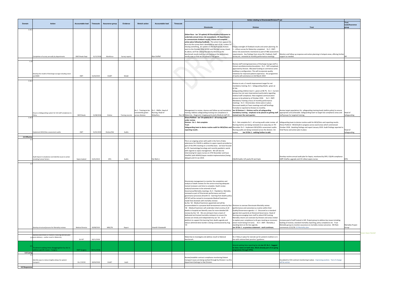| ust                                                                                                                                                                    |                                         |
|------------------------------------------------------------------------------------------------------------------------------------------------------------------------|-----------------------------------------|
| Trust                                                                                                                                                                  | <b>Trust</b><br>Lead/Assurance<br>group |
|                                                                                                                                                                        |                                         |
|                                                                                                                                                                        |                                         |
|                                                                                                                                                                        |                                         |
|                                                                                                                                                                        |                                         |
| Monitor and follow up response and action planning in hotspot areas, offering further                                                                                  |                                         |
| support as needed.                                                                                                                                                     | HR                                      |
|                                                                                                                                                                        |                                         |
|                                                                                                                                                                        |                                         |
|                                                                                                                                                                        |                                         |
|                                                                                                                                                                        |                                         |
|                                                                                                                                                                        |                                         |
|                                                                                                                                                                        |                                         |
|                                                                                                                                                                        |                                         |
|                                                                                                                                                                        |                                         |
| Review target populations for safeguarding training levels (within policy) to ensure                                                                                   |                                         |
| appropriate and achievable. Safeguarding team to target low compliance areas and<br>staff groups for targeted training.                                                | Head of<br>Safeguarding                 |
|                                                                                                                                                                        |                                         |
| Safeguarding team to devise routine audit for MCA/DoLs and reporting results.<br>(Fiona Pickford - MCA/Audit in progress across ward areas which commenced             |                                         |
| October 2018. Awaiting findings and report January 2019. Audit findings reported to<br>Chief Nurse and action plan in place.                                           | Head of                                 |
|                                                                                                                                                                        | Safeguarding                            |
|                                                                                                                                                                        |                                         |
|                                                                                                                                                                        |                                         |
|                                                                                                                                                                        |                                         |
| Develop routine annual audit plan for Sepsis, monitored by DPG. CQUIN compliance<br>IQPR VitalPac upgrade and CD rollout sepsis nurses                                 | DPG                                     |
|                                                                                                                                                                        |                                         |
|                                                                                                                                                                        |                                         |
|                                                                                                                                                                        |                                         |
|                                                                                                                                                                        |                                         |
|                                                                                                                                                                        |                                         |
|                                                                                                                                                                        |                                         |
|                                                                                                                                                                        |                                         |
|                                                                                                                                                                        |                                         |
|                                                                                                                                                                        |                                         |
|                                                                                                                                                                        |                                         |
|                                                                                                                                                                        |                                         |
| Increase pool of staff trained in SJR. Project group to address key issues including<br>backlog of reviews, standard mortality reporting, policy compliance etc. Trust |                                         |
| Mortality group to monitor assurance on mortality review outcomes. ME Role<br>commences 3/12/18. Q! Mortality plan                                                     | Mortality Project<br>Group              |
|                                                                                                                                                                        |                                         |
|                                                                                                                                                                        |                                         |
|                                                                                                                                                                        |                                         |
|                                                                                                                                                                        |                                         |
|                                                                                                                                                                        |                                         |
| Esculated to CCG contract monitoring in place. Improving position. Test of change<br>will be winter                                                                    |                                         |
|                                                                                                                                                                        |                                         |
|                                                                                                                                                                        |                                         |

|                 |                                                                                                      |                         |                  |                        |                  |                                        |                                                                             |                  |                                                                                                                                                                                                                                                                                                                                                                                                                                                                                                                                                                                                                                                                                                                                                                                                                                                                                                                                                                                                                                                                                                                                                   | Action relating to Directorate/Division/Trust                                                                                                                                                                                                                                                                                                                                                                                                                                                                                                                                                                                                                                                                                                            |                                                                                                                                                                                                                                                                                              |  |
|-----------------|------------------------------------------------------------------------------------------------------|-------------------------|------------------|------------------------|------------------|----------------------------------------|-----------------------------------------------------------------------------|------------------|---------------------------------------------------------------------------------------------------------------------------------------------------------------------------------------------------------------------------------------------------------------------------------------------------------------------------------------------------------------------------------------------------------------------------------------------------------------------------------------------------------------------------------------------------------------------------------------------------------------------------------------------------------------------------------------------------------------------------------------------------------------------------------------------------------------------------------------------------------------------------------------------------------------------------------------------------------------------------------------------------------------------------------------------------------------------------------------------------------------------------------------------------|----------------------------------------------------------------------------------------------------------------------------------------------------------------------------------------------------------------------------------------------------------------------------------------------------------------------------------------------------------------------------------------------------------------------------------------------------------------------------------------------------------------------------------------------------------------------------------------------------------------------------------------------------------------------------------------------------------------------------------------------------------|----------------------------------------------------------------------------------------------------------------------------------------------------------------------------------------------------------------------------------------------------------------------------------------------|--|
| Domain          | <b>Action</b>                                                                                        | Accountable lead        | <b>Timescale</b> | <b>Assurance group</b> | <b>Evidence</b>  | <b>Stretch action</b>                  | <b>Accountable lead</b>                                                     | <b>Timescale</b> | <b>Directorate</b>                                                                                                                                                                                                                                                                                                                                                                                                                                                                                                                                                                                                                                                                                                                                                                                                                                                                                                                                                                                                                                                                                                                                |                                                                                                                                                                                                                                                                                                                                                                                                                                                                                                                                                                                                                                                                                                                                                          | <b>Trust</b>                                                                                                                                                                                                                                                                                 |  |
| 1.14.1          | ompletion of survey annually by departments                                                          | DMT/Heads Dept          | 31/12/2018       | Workforce              | Survey reports   |                                        | Alan Duffell                                                                |                  | (Adam Race - Jan '19 update) All Directorates/sub-teams to<br>undertake annual stress risk assessments. All departments<br>to communicate chatback results, review and complete<br>action plans following feedback. The action here appears to<br>be to do the survey that's developed as part of 14.1 unless I'm<br>missing something. An update on the Staff Survey Actions<br>went to the October 2018 WODC and the new survey closed.<br>As above, we'll be cutting the data by division as the<br>benchmark results land, but are looking at the preliminary<br>results now so that we are ahead of the game.                                                                                                                                                                                                                                                                                                                                                                                                                                                                                                                                | <b>Division</b><br>Ensure oversight of Chatback results and action planning. Dv<br>1 - culture survey for Maternity completed. Dv 3 - DMT:<br>stress risk assessments monitored as part of H&S assessment<br>requirements. Key findings from stress RA, Chatback, Staff<br>Survey etc. reviewed at monthly performance meetings.                                                                                                                                                                                                                                                                                                                                                                                                                         | Monitor and follow up response and action planning in hotspot areas, offering further<br>support as needed.                                                                                                                                                                                  |  |
| 1.15            | Develop the model of Discharge Lounge including vision<br>and DMO                                    | DMT                     | 31/03/2019       | DivMT                  | Model            |                                        |                                                                             |                  |                                                                                                                                                                                                                                                                                                                                                                                                                                                                                                                                                                                                                                                                                                                                                                                                                                                                                                                                                                                                                                                                                                                                                   | Review staff training/awareness of Discharge lounge staff re<br>clinical care/deterioration/escalation - Dv 2 - SOP completed,<br>approved by Division. Allocated funding to commence some<br>building re-configuration. This will incorporate quality<br>initiatives for improved patient experience. the programme<br>of works will commence on 3rd March 2019                                                                                                                                                                                                                                                                                                                                                                                         |                                                                                                                                                                                                                                                                                              |  |
| 1.16.2<br>1.16. | Ensure a Safeguarding system for full staff compliance to<br>Policy                                  | DMT/Heads               | 31/08/2018       | DivGov                 | Training records | consistently green<br>across division. | Dv 1 - Training to be Dv 1 - DMDs, Head of<br>Nursing, Head of<br>Midwifery |                  | Management to review, cleanse and follow up red mandatory<br>training. Address safeguarding training non compliance in<br>Dec-18 Maternity, Diagnostic Imaging particularly Medical staff L3)<br>Fiona Pickford - Jan '19 update) Dv 2 - all nursing audit                                                                                                                                                                                                                                                                                                                                                                                                                                                                                                                                                                                                                                                                                                                                                                                                                                                                                        | Division to set a 2 month improvement target for red<br>mandatory training. Dv 1 - Safeguarding Adults: green at<br>97.9%.<br>Safeguarding children level 1: green at 98.7%. Dv 2 - Current<br>process has not seen improvement particularly regarding<br>medical staff compliance. New targeted communication<br>process to be piloted as of October 2018. Dv 3 - DMT:<br>Mandatory Training a focus of monthly performance<br>meetings Dv 3 - Directorates: Action plans in place.<br>Discussed weekly at Team meetings and staff briefings.<br>Formally to reported to Division to monthly.<br>Jan 19 Division 1 - Division red for all safeguarding<br>mandatory training - emphasis to be placed on getting staff<br>trained over the next quarter. | Review target populations for safeguarding training levels (within policy) to ensure<br>appropriate and achievable. Safeguarding team to target low compliance areas and<br>staff groups for targeted training.                                                                              |  |
|                 | nplement MCA/DoLs assessment audits                                                                  | DMT                     | 31/01/2019       | DivGov/SSG             | Audits           |                                        |                                                                             |                  | under review.<br>Division - Dv 1 - Not complete<br>Trust:<br>Safeguarding team to devise routine audit for MCA/DoLs and December Dv 3 - Implement MCA/DOLs assessment audits-<br>reporting results.                                                                                                                                                                                                                                                                                                                                                                                                                                                                                                                                                                                                                                                                                                                                                                                                                                                                                                                                               | Dv 1 - Not complete Dv 2 - all nursing audit under review. all<br>Nursing metrics are being reviewed at an away day on 7th<br>Nursing audits are being reviewed across the division. 3m<br>review<br>Jan 19 Div 1 - nothing further to add.                                                                                                                                                                                                                                                                                                                                                                                                                                                                                                              | Safeguarding team to devise routine audit for MCA/DoLs and reporting results.<br>Fiona Pickford - MCA/Audit in progress across ward areas which commenced<br>October 2018. Awaiting findings and report January 2019. Audit findings reported to<br>Chief Nurse and action plan in place.    |  |
| 2.0 Effective   | Audit Sepsis 6 compliance and identify issues to action<br>including human factors                   | Sepsis leadsx2          | 31/01/2019       | DPG                    | Audits           |                                        | Yat Wah Li                                                                  |                  | This is an ongoing action with audit in the form of data<br>submission for CQUIN in addition to sepsis reports provided as<br>part of the DPG meeting on a monthly basis. we have focused<br>on ED, haematology/oncology and recently paediatric wards<br>with regards to sepsis management. We will also be<br>interviewing for sepsis nurses on 27th November and have<br>VitalPAC (with NEWS2/sepsis module implementation) being<br>delayed until 31 Jan 2019.                                                                                                                                                                                                                                                                                                                                                                                                                                                                                                                                                                                                                                                                                | CQUIN Audits 1/4 yearly ED and Inpts                                                                                                                                                                                                                                                                                                                                                                                                                                                                                                                                                                                                                                                                                                                     | Develop routine annual audit plan for Sepsis, monitored by DPG. CQUIN compliance<br>IQPR VitalPac upgrade and CD rollout sepsis nurses                                                                                                                                                       |  |
|                 | Develop structure/process for Mortality reviews                                                      | <b>Medical Director</b> | 30/08/2019       | MRG/TB                 | Report           |                                        | Ananth Viswanath                                                            |                  | Directorate management to monitor the completion and<br>analysis of death reviews for the service ensuring adequate<br>trained reviewers and time to complete. Death review<br>analysis/outcomes to be actioned at local<br>Governance/Mortality meetings. Dv 3 - Paediatrics: Mortality<br>reviewed as part of Directorate performance and local<br>governance processes (Ananth.V) - learning from deaths policy<br>(OP 87) will be revised to incorporate Medical Examiners<br>model that dovetails with mortality reviews<br>by Dec '18 - Medical Examiners appointed and will be<br>accommodated in a purpose-built bereavement centre by Nov Divisions to oversee Directorate Mortality review<br>'18 - Medical Examiners will undertake initial scrutiny of all<br>deaths in hospital and identify cases for more detailed SJR<br>reviews by Dec '18 - We are aiming to have a team of<br>dedicated and trained mortality reviewers to ensure the<br>reviews are timely and independent by Jan '19. - An IT<br>platform to support the learning from deaths agenda and<br>reduce administrative burden is being commissioned by Aug<br>'19 | (performance and outcomes) as routine within their<br>Quality/Governance agenda. v 1 - Discussed as a standard<br>agenda item quarterly at Divisional Governance. Head of<br>Nursing encouraging more staff to attend SJR training.<br>Mortality returns are overseen by Division and areas invited<br>to explain poor compliance to div gov meeting as necessary<br>(most recent being Crit Care). Dv 3 - DMT: Mortality a<br>standing item on Div Gov agenda.<br>Jan 19 Div 1 - as previous statement - work continues.                                                                                                                                                                                                                                | Increase pool of staff trained in SJR. Project group to address key issues including<br>backlog of reviews, standard mortality reporting, policy compliance etc. Trust<br>Mortality group to monitor assurance on mortality review outcomes. ME Role<br>commences 3/12/18. Q! Mortality plan |  |
|                 | onal benchmark of mothers receiving steroids post<br>2.4 prem delivery - outlier result in Maternity | Dir MT                  | 30/11/2018       |                        |                  |                                        |                                                                             |                  | Maternity to investigate and address result to National<br>benchmark.                                                                                                                                                                                                                                                                                                                                                                                                                                                                                                                                                                                                                                                                                                                                                                                                                                                                                                                                                                                                                                                                             | Dv 1 Policy in place for steroid use for preterm mothers is in<br>line with national best practice / guidance.                                                                                                                                                                                                                                                                                                                                                                                                                                                                                                                                                                                                                                           |                                                                                                                                                                                                                                                                                              |  |
| 3.0 Caring      | eatment waiting times disaggregation by site to<br>dress specific issues - Surgery                   | <b>DMT Surgery</b>      | 30/11/2018       |                        |                  |                                        |                                                                             |                  |                                                                                                                                                                                                                                                                                                                                                                                                                                                                                                                                                                                                                                                                                                                                                                                                                                                                                                                                                                                                                                                                                                                                                   | Amend waiting time reporting by site.Jan 19 Dv 1 - Suggest<br>to close. Same on both sites. Work already part of on-going<br>programme through OTEG.                                                                                                                                                                                                                                                                                                                                                                                                                                                                                                                                                                                                     |                                                                                                                                                                                                                                                                                              |  |
|                 | dentify ways to reduce lengthy delays for patient<br>ansport.                                        | Div 2 DCOO              | 30/04/2018       | DivMT                  | Audit            |                                        |                                                                             |                  | Review/establish contract compliance monitoring.Patient<br>transport issues are being worked through by Division 1 as this<br>department belongs to that Division.                                                                                                                                                                                                                                                                                                                                                                                                                                                                                                                                                                                                                                                                                                                                                                                                                                                                                                                                                                                |                                                                                                                                                                                                                                                                                                                                                                                                                                                                                                                                                                                                                                                                                                                                                          | Esculated to CCG contract monitoring in place. Improving position. Test of change<br>will be winter                                                                                                                                                                                          |  |
| 4.0 Responsive  |                                                                                                      |                         |                  |                        |                  |                                        |                                                                             |                  |                                                                                                                                                                                                                                                                                                                                                                                                                                                                                                                                                                                                                                                                                                                                                                                                                                                                                                                                                                                                                                                                                                                                                   |                                                                                                                                                                                                                                                                                                                                                                                                                                                                                                                                                                                                                                                                                                                                                          |                                                                                                                                                                                                                                                                                              |  |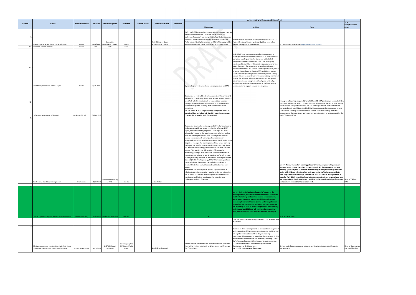|        |                                                                                                                  |                                   |                   |                                           |                                                   |                       |                                                |           | <b>Action relating to Directorate/Division/Trust</b>                                                                                                                                                                                                                                                                                                                                                                                                                                                                                                                                                                                                                                                                                                                                                                                                                                                                                                                                                                                                                                                                                                                                                                                                                                                                                                                             |                                                                                                                                                                                                                                                                                                                                                                                                                                                                                                                                                                                                                                                                                                                                                                                                                                                                                  |                                                                                                                                                                                                                                                                                                                                                                                                                                                                                                                                                                                                                                                     |  |
|--------|------------------------------------------------------------------------------------------------------------------|-----------------------------------|-------------------|-------------------------------------------|---------------------------------------------------|-----------------------|------------------------------------------------|-----------|----------------------------------------------------------------------------------------------------------------------------------------------------------------------------------------------------------------------------------------------------------------------------------------------------------------------------------------------------------------------------------------------------------------------------------------------------------------------------------------------------------------------------------------------------------------------------------------------------------------------------------------------------------------------------------------------------------------------------------------------------------------------------------------------------------------------------------------------------------------------------------------------------------------------------------------------------------------------------------------------------------------------------------------------------------------------------------------------------------------------------------------------------------------------------------------------------------------------------------------------------------------------------------------------------------------------------------------------------------------------------------|----------------------------------------------------------------------------------------------------------------------------------------------------------------------------------------------------------------------------------------------------------------------------------------------------------------------------------------------------------------------------------------------------------------------------------------------------------------------------------------------------------------------------------------------------------------------------------------------------------------------------------------------------------------------------------------------------------------------------------------------------------------------------------------------------------------------------------------------------------------------------------|-----------------------------------------------------------------------------------------------------------------------------------------------------------------------------------------------------------------------------------------------------------------------------------------------------------------------------------------------------------------------------------------------------------------------------------------------------------------------------------------------------------------------------------------------------------------------------------------------------------------------------------------------------|--|
| Domain | <b>Action</b>                                                                                                    | <b>Accountable lead</b>           | <b>Timescale</b>  | Assurance group                           | Evidence                                          | <b>Stretch action</b> | <b>Accountable lead</b>                        | Timescale | <b>Directorate</b>                                                                                                                                                                                                                                                                                                                                                                                                                                                                                                                                                                                                                                                                                                                                                                                                                                                                                                                                                                                                                                                                                                                                                                                                                                                                                                                                                               | <b>Division</b>                                                                                                                                                                                                                                                                                                                                                                                                                                                                                                                                                                                                                                                                                                                                                                                                                                                                  | <b>Trust</b>                                                                                                                                                                                                                                                                                                                                                                                                                                                                                                                                                                                                                                        |  |
|        | Achieve national targets for RTT - external review<br>4.1.1 Implement recommendations                            | <b>DCOOs</b><br>DCOO <sub>S</sub> | 30/06/2019<br>tbc | Contract &<br>Performance / DivMT<br>F&PC | Report<br><b>IQPR</b>                             |                       | Kevin Stringer / Gwen<br>Nuttall / Mike Sharon |           | Dv 3 - DMT: RTT monitoring in place . We did however have an<br>intensive support review (external) for our cancer 62<br>pathways. This report was completed in Aug 18, the evidence<br>via report is available and has been shared with Finance &<br>Performance, Quality Governance and TMC. The accountable<br>leads are myself and Simon Grummet (Trust cancer lead).                                                                                                                                                                                                                                                                                                                                                                                                                                                                                                                                                                                                                                                                                                                                                                                                                                                                                                                                                                                                        | Review surgical admission pathways to improve RTT Dv 1 -<br>Trust wide issue which is ongoing and picked up in other<br>forums. Highlighted in cover report                                                                                                                                                                                                                                                                                                                                                                                                                                                                                                                                                                                                                                                                                                                      | RTT performance monitored.Improvement plan in place                                                                                                                                                                                                                                                                                                                                                                                                                                                                                                                                                                                                 |  |
| 4.1.2  | EPAU having no weekend service - Gynae                                                                           | Dir MT                            | 30/04/2018        |                                           |                                                   |                       |                                                |           | Gynaecology to review weekend service provision for EPAU                                                                                                                                                                                                                                                                                                                                                                                                                                                                                                                                                                                                                                                                                                                                                                                                                                                                                                                                                                                                                                                                                                                                                                                                                                                                                                                         | Dv 1 - EPAU - no service at the weekends this relates to<br>challenges within the sonography service. HOM and Matron<br>are future proofing service for Nurse and Midwife led<br>sonography service - 2 RM's and 2 RN's are undergoing<br>training and this will be a rolling training programme for the<br>future .Presently the sonography service is challenged -<br>vacancy and sickness has created some capacity issues, this is<br>a risk that is escalated to divisional RR, and COO is aware.<br>This means that presently we are unable to provide a 7 day<br>service, this is under continual review and is being monitored<br>closely. Recruitment is in progress - there is a recognised<br>lack of experienced sonographers locally and nationally.<br>Succession planning and development of staff in scanning<br>competencies to support service is in progress. |                                                                                                                                                                                                                                                                                                                                                                                                                                                                                                                                                                                                                                                     |  |
| 4.1.4  | LD/Dementia provision - Diagnostic                                                                               | Radiology Dir MT                  | 31/03/2019        |                                           |                                                   |                       |                                                |           | Directorate to review LD patient needs within the service and<br>address Dv 3 - Radiology: There is no written process for this as<br>yet. Work with Dementia Leads to support best practice<br>hoping to have implemented by March 2019 LD/Dementia<br>Provision Diagnostic- Working with Dementia leads for<br>completion<br>Jan 19 - Fiona.P - LD All Ages Strategy completed. New LD<br>posts (children and adult) x 2 Band 6 in recruitment stage.<br>Expect to be in post by end of March 2019.                                                                                                                                                                                                                                                                                                                                                                                                                                                                                                                                                                                                                                                                                                                                                                                                                                                                            |                                                                                                                                                                                                                                                                                                                                                                                                                                                                                                                                                                                                                                                                                                                                                                                                                                                                                  | Strategies rollout flags on portal (Fiona Pickford) LD All Ages Strategy completed. New<br>LD posts (children and adult) x 2 Band 6 in recruitment stage. Expect to be in post by<br>end of March 2019 (Fiona Pickford - Jan '19 update) Outreach team recruitment<br>completed and 2 band 6 Learning Disability Nurses appointed and expected in post<br>March 2019. Awaiting decision from CCG around additional funding for band 4<br>support posts. Outreach team work-plan to meet LD strategy to be developed by the<br>end of February 2019.                                                                                                 |  |
|        | Develop new Mandatory training model                                                                             | Dir.Workforce                     | 01/04/2019        | <b>Education and Training</b><br>/ TMC    | Kite site                                         |                       | Louise Nickell                                 |           | This review is currently underway, and a Director confirm and<br>challenge step will now be part of the sign off around MT<br>topics/frequency and target groups. Each topic has been<br>allocated a 'reader' of the learning content, who has worked<br>with the SME to provide first level challenge and scrutiny<br>around course content, learning outcomes and user<br>acceptability-this has now been completed for all topics. Next<br>stage is to redesign the learning content into new e learning<br>packages, and test for user acceptability and accuracy. Then<br>the director level scrutiny panel will occur between now and<br>March. (Zoe Marsh - Jan '19 update) . All core skills<br>mandatory packages have now been reviewed and content<br>redesigned and aligned to learning outcomes (length In most<br>cases significantly reduced) or moved to e-learning for Health<br>Content (IG. E&D, Safeguarding, CRT). Where packages have<br>been redesigned these are currently being produced by<br>Medical Illustration and will be ready within the next few<br>weeks.<br>The team are working on an options appraisal paper in<br>relation to agreeing mandatory training topics are categories<br>for 2019/20. The options appraisal paper will be ready this<br>month and could either be discussed at a confirm and<br>challenge meeting or Directors. |                                                                                                                                                                                                                                                                                                                                                                                                                                                                                                                                                                                                                                                                                                                                                                                                                                                                                  | Jan 19 - Review mandatory training policy and training subjects with particular<br>focus on target groups, compliance targets/thresholds, frequency and mode of<br>training (Louise.N) Dec 18- Confirm and challenge meetings underway for all MT<br>topics with SME and educationalists reviewing content of training material etc.<br>Next step is exec level challenge- Jan and Feb 2019. All revised packages to be in<br>place for April 2019. In addition knowledge assessment options now available for e<br>learning packages for those who are confident in their own knowledge of the topic<br>and can move forward to the question deck. |  |
|        | nfirm Sepsis training requirements for Maternity staff                                                           | <b>Head of Midwiferv</b>          |                   | 30/01/2019 Directorate Gov. Grou          | <b>Minutes</b>                                    |                       |                                                |           |                                                                                                                                                                                                                                                                                                                                                                                                                                                                                                                                                                                                                                                                                                                                                                                                                                                                                                                                                                                                                                                                                                                                                                                                                                                                                                                                                                                  | Jan 19 - Each topic has been allocated a 'reader' of the<br>learning content, who has worked with the SME to provide<br>first level challenge and scrutiny around course content,<br>learning outcomes and user acceptability- this has now<br>been completed for all topics. (Emma McCartney) Sepsis is<br>covered on our Intrapartum Study Day and has been since<br>the beginning of 2016. It is still being covered on a monthly<br>basis throughout 2018 and will continue. Continues into<br>2019, compliance will be in line with national 90% target                                                                                                                                                                                                                                                                                                                     | As in line with Trust                                                                                                                                                                                                                                                                                                                                                                                                                                                                                                                                                                                                                               |  |
|        |                                                                                                                  |                                   |                   |                                           |                                                   |                       |                                                |           |                                                                                                                                                                                                                                                                                                                                                                                                                                                                                                                                                                                                                                                                                                                                                                                                                                                                                                                                                                                                                                                                                                                                                                                                                                                                                                                                                                                  | Then the director level scrutiny panel will occur between now<br>and march                                                                                                                                                                                                                                                                                                                                                                                                                                                                                                                                                                                                                                                                                                                                                                                                       |                                                                                                                                                                                                                                                                                                                                                                                                                                                                                                                                                                                                                                                     |  |
| 5.4    | Effective management of risk registers to include timely<br>Closure of actions and risks, relevance of evidence. | and Corporate Heads               | 30/11/2018        | QSIG/QGAC/Audit<br>Committee              | Div Data pack/TRR<br>BAF/Internal Audit<br>report |                       | Shashidhar Cherukuri                           |           | All risks must but reviewed and updated monthly. A monthly<br>risk register review meeting is held to oversee and follow up<br>the TRR updates.                                                                                                                                                                                                                                                                                                                                                                                                                                                                                                                                                                                                                                                                                                                                                                                                                                                                                                                                                                                                                                                                                                                                                                                                                                  | Divisions to devise arrangements to oversee the management<br>and progression of Directorate risk registers. Dv 1 - Divisional<br>risk register reviewed monthly at div gov meeting.<br>Directorate risks reviewed as part of Quality meetings. IP risks<br>also reviewed at Divisional nurse leadership meeting. Dv 3 -<br>DMT: As per policy risks <12 reviewed min. quarterly; risks<br>12+ reviewed monthly. Reviews take place at both<br>Directorate and Divisional level.<br>Jan 19 - Div 1 - nothing further to add.                                                                                                                                                                                                                                                                                                                                                     | Review central governance and resource and structure to oversee risk register<br>management.                                                                                                                                                                                                                                                                                                                                                                                                                                                                                                                                                        |  |

|                                                                                                                                                                                                                                                                                                                                                                                                                                                                                                                                                                                                   | <b>Trust</b><br>Lead/Assurance                  |
|---------------------------------------------------------------------------------------------------------------------------------------------------------------------------------------------------------------------------------------------------------------------------------------------------------------------------------------------------------------------------------------------------------------------------------------------------------------------------------------------------------------------------------------------------------------------------------------------------|-------------------------------------------------|
| <b>Trust</b>                                                                                                                                                                                                                                                                                                                                                                                                                                                                                                                                                                                      | group                                           |
| erformance monitored. Improvement plan in place                                                                                                                                                                                                                                                                                                                                                                                                                                                                                                                                                   |                                                 |
|                                                                                                                                                                                                                                                                                                                                                                                                                                                                                                                                                                                                   |                                                 |
|                                                                                                                                                                                                                                                                                                                                                                                                                                                                                                                                                                                                   |                                                 |
| gies rollout flags on portal (Fiona Pickford) LD All Ages Strategy completed. New<br>ts (children and adult) x 2 Band 6 in recruitment stage. Expect to be in post by<br>March 2019 (Fiona Pickford - Jan '19 update) Outreach team recruitment<br>eted and 2 band 6 Learning Disability Nurses appointed and expected in post<br>2019. Awaiting decision from CCG around additional funding for band 4<br>rt posts. Outreach team work-plan to meet LD strategy to be developed by the<br>February 2019.                                                                                         |                                                 |
| - Review mandatory training policy and training subjects with particular<br>on target groups, compliance targets/thresholds, frequency and mode of<br>g (Louise.N) Dec 18- Confirm and challenge meetings underway for all MT<br>with SME and educationalists reviewing content of training material etc.<br>tep is exec level challenge- Jan and Feb 2019. All revised packages to be in<br>for April 2019. In addition knowledge assessment options now available for e<br>ng packages for those who are confident in their own knowledge of the topic<br>in move forward to the question deck. | Head of E&T and<br>SME                          |
|                                                                                                                                                                                                                                                                                                                                                                                                                                                                                                                                                                                                   |                                                 |
|                                                                                                                                                                                                                                                                                                                                                                                                                                                                                                                                                                                                   |                                                 |
| ne with Trust                                                                                                                                                                                                                                                                                                                                                                                                                                                                                                                                                                                     |                                                 |
|                                                                                                                                                                                                                                                                                                                                                                                                                                                                                                                                                                                                   |                                                 |
|                                                                                                                                                                                                                                                                                                                                                                                                                                                                                                                                                                                                   |                                                 |
| v central governance and resource and structure to oversee risk register<br>ement.                                                                                                                                                                                                                                                                                                                                                                                                                                                                                                                | <b>Head of Governance</b><br>and Legal Services |
|                                                                                                                                                                                                                                                                                                                                                                                                                                                                                                                                                                                                   |                                                 |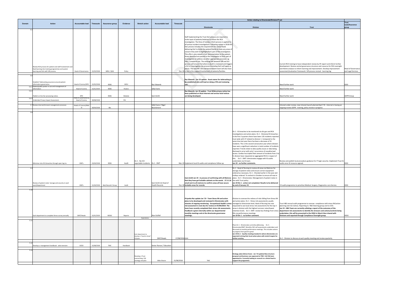|                                                                                         | <b>Trust</b><br>Lead/Assurance |
|-----------------------------------------------------------------------------------------|--------------------------------|
| <b>Trust</b>                                                                            | group                          |
|                                                                                         |                                |
|                                                                                         |                                |
|                                                                                         |                                |
|                                                                                         |                                |
|                                                                                         |                                |
|                                                                                         |                                |
|                                                                                         |                                |
|                                                                                         |                                |
| dent review by HF expert and inform further                                             |                                |
| ance structure and resource for RCA oversight<br>g and improvement. Develop improvement | <b>Head of Governance</b>      |
| JR process revised - learning log                                                       | and Legal Services             |
|                                                                                         |                                |
|                                                                                         |                                |
|                                                                                         | IGSG                           |
|                                                                                         |                                |
|                                                                                         |                                |
|                                                                                         | <b>GDPR</b> Group              |
|                                                                                         |                                |
|                                                                                         |                                |
| launch planned April '19. Internet is having an<br>y review in progress:                |                                |
|                                                                                         |                                |
|                                                                                         |                                |
|                                                                                         |                                |
|                                                                                         |                                |
|                                                                                         |                                |
|                                                                                         |                                |
|                                                                                         |                                |
|                                                                                         |                                |
|                                                                                         |                                |
|                                                                                         |                                |
|                                                                                         |                                |
|                                                                                         |                                |
|                                                                                         |                                |
| uidance for IT login security. Implement Trust IG                                       |                                |
|                                                                                         | IGSG                           |
|                                                                                         |                                |
|                                                                                         |                                |
|                                                                                         |                                |
|                                                                                         |                                |
|                                                                                         |                                |
| dical, Surgery, Diagnostics core Service.                                               | IGSG                           |
|                                                                                         |                                |
|                                                                                         |                                |
|                                                                                         |                                |
| o oversee compliance with stress RA/action                                              |                                |
| to H&S Steering group and to COG.                                                       |                                |
| ating a report of the outcomes of the<br>ntify the stressors and actions/controls being |                                |
| o the HSSG in March then shared with                                                    |                                |
| pliance Oversight group.                                                                | HSSG                           |
|                                                                                         |                                |
|                                                                                         |                                |
|                                                                                         |                                |
|                                                                                         |                                |
| lity meeting and review quarterly.                                                      |                                |
|                                                                                         |                                |
|                                                                                         |                                |
|                                                                                         |                                |
|                                                                                         |                                |
|                                                                                         |                                |
|                                                                                         |                                |
|                                                                                         |                                |

|        |                                                                                                                                                     |                                       |            |                    |          |                                                             |                                                |                 |                                                                                                                                                                                                                                                                                                                                                                                                                                                                                                                                                                                                                                                                              | Action relating to Directorate/Division/Trust                                                                                                                                                                                                                                                                                                                                                                                                                                                                                                                                                                                                                                                                                                                             |                                                                                                                                                                                                                                                                                                                                                                                                                                                                                                                                 |                             |
|--------|-----------------------------------------------------------------------------------------------------------------------------------------------------|---------------------------------------|------------|--------------------|----------|-------------------------------------------------------------|------------------------------------------------|-----------------|------------------------------------------------------------------------------------------------------------------------------------------------------------------------------------------------------------------------------------------------------------------------------------------------------------------------------------------------------------------------------------------------------------------------------------------------------------------------------------------------------------------------------------------------------------------------------------------------------------------------------------------------------------------------------|---------------------------------------------------------------------------------------------------------------------------------------------------------------------------------------------------------------------------------------------------------------------------------------------------------------------------------------------------------------------------------------------------------------------------------------------------------------------------------------------------------------------------------------------------------------------------------------------------------------------------------------------------------------------------------------------------------------------------------------------------------------------------|---------------------------------------------------------------------------------------------------------------------------------------------------------------------------------------------------------------------------------------------------------------------------------------------------------------------------------------------------------------------------------------------------------------------------------------------------------------------------------------------------------------------------------|-----------------------------|
| Domain | <b>Action</b>                                                                                                                                       | <b>Accountable lead</b>               | Timescale  | Assurance group    | Evidence | <b>Stretch action</b>                                       | Accountable lead                               | Timescale       |                                                                                                                                                                                                                                                                                                                                                                                                                                                                                                                                                                                                                                                                              |                                                                                                                                                                                                                                                                                                                                                                                                                                                                                                                                                                                                                                                                                                                                                                           |                                                                                                                                                                                                                                                                                                                                                                                                                                                                                                                                 | Trust<br>Lead/Assura        |
|        |                                                                                                                                                     |                                       |            |                    |          |                                                             |                                                |                 | <b>Directorate</b>                                                                                                                                                                                                                                                                                                                                                                                                                                                                                                                                                                                                                                                           | <b>Division</b>                                                                                                                                                                                                                                                                                                                                                                                                                                                                                                                                                                                                                                                                                                                                                           | <b>Trust</b>                                                                                                                                                                                                                                                                                                                                                                                                                                                                                                                    | group                       |
|        |                                                                                                                                                     |                                       |            |                    |          |                                                             |                                                |                 | Staff implementing the Trust DoC process are required to<br>invite input of patients/relatives to inform the RCA<br>investigation. The Duty of Candour (DoC) process is applied to<br>all serious incident investigations. Following review in 2018 the<br>DoC process includes the requirement for clinical leads                                                                                                                                                                                                                                                                                                                                                           |                                                                                                                                                                                                                                                                                                                                                                                                                                                                                                                                                                                                                                                                                                                                                                           |                                                                                                                                                                                                                                                                                                                                                                                                                                                                                                                                 |                             |
|        | Review RCA process for patient and staff involvement and<br>feed learning into training programmes and system<br>earning and link with SJR process. | <b>Head of Governance</b>             | 31/03/2018 | MRG / QSIG         | Policy   |                                                             |                                                |                 | delivering DoC to invite the patient/family to state any areas of<br>concern they wish to highlight/form part of the investigation.<br>This offer is also stated in DoC documentation to the patient.<br>Areas identified are passed to the investigator to form part of<br>investigation or address via other appropriate processes eg<br>PALs, Complaints etc. The existing link between SJR and SUI<br>process will ensure that where a death is reviewed and triggers<br>a SUI or investigation the process (including DoC) will apply as<br>above. The new ME role and bereavement team will also have<br>Dec-18 a role in the support/involvement of patients/families |                                                                                                                                                                                                                                                                                                                                                                                                                                                                                                                                                                                                                                                                                                                                                                           | Current RCA training to have independent review by HF expert and inform further<br>development. Review central governance structure and resource for RCA oversight<br>and theme analysis to inform learning and improvement. Develop improvement<br>assessment/evaluation framework. SJR process revised - learning log                                                                                                                                                                                                         | Head of Gov<br>and Legal Se |
|        |                                                                                                                                                     |                                       |            |                    |          |                                                             |                                                |                 |                                                                                                                                                                                                                                                                                                                                                                                                                                                                                                                                                                                                                                                                              |                                                                                                                                                                                                                                                                                                                                                                                                                                                                                                                                                                                                                                                                                                                                                                           |                                                                                                                                                                                                                                                                                                                                                                                                                                                                                                                                 |                             |
|        | Establish Teletracking assurance around patient<br>information governance.                                                                          | Head of Comms/DPO                     | 31/05/2018 | IGSG               | MOU      |                                                             | Raz Edwards                                    |                 | Raz Edwards - Jan 19 update- Asset owner for teletracking to<br>be established who will lead on doing a PIA and reviewing<br>use.                                                                                                                                                                                                                                                                                                                                                                                                                                                                                                                                            |                                                                                                                                                                                                                                                                                                                                                                                                                                                                                                                                                                                                                                                                                                                                                                           | Need further work                                                                                                                                                                                                                                                                                                                                                                                                                                                                                                               | IGSG                        |
|        | 5.6.1 Patient/public poster re use and management of<br>nformation                                                                                  | <b>Head of Comms</b>                  | 31/01/2019 | IGSG               | Posters  |                                                             | Sally Evans                                    |                 |                                                                                                                                                                                                                                                                                                                                                                                                                                                                                                                                                                                                                                                                              |                                                                                                                                                                                                                                                                                                                                                                                                                                                                                                                                                                                                                                                                                                                                                                           | Need further work                                                                                                                                                                                                                                                                                                                                                                                                                                                                                                               |                             |
| 5.6.2  |                                                                                                                                                     |                                       |            |                    |          |                                                             |                                                |                 | Raz Edwards- Jan 19 update - Trust Wide privacy notive has<br>been publiched on thust Internet and service level notices                                                                                                                                                                                                                                                                                                                                                                                                                                                                                                                                                     |                                                                                                                                                                                                                                                                                                                                                                                                                                                                                                                                                                                                                                                                                                                                                                           |                                                                                                                                                                                                                                                                                                                                                                                                                                                                                                                                 |                             |
|        | Publish on line fair processing notice.                                                                                                             | DPO                                   |            | IGSG               | Website  |                                                             | Sam Smith                                      |                 | are being developed.                                                                                                                                                                                                                                                                                                                                                                                                                                                                                                                                                                                                                                                         |                                                                                                                                                                                                                                                                                                                                                                                                                                                                                                                                                                                                                                                                                                                                                                           | Need further work                                                                                                                                                                                                                                                                                                                                                                                                                                                                                                               | <b>GDPR</b> Group           |
| 5.6.3  | <b>Indertake Privacy Impact Assessment.</b>                                                                                                         | lead of Governance &<br>Head of Comms | 30/08/2018 |                    | PIA      |                                                             |                                                |                 |                                                                                                                                                                                                                                                                                                                                                                                                                                                                                                                                                                                                                                                                              |                                                                                                                                                                                                                                                                                                                                                                                                                                                                                                                                                                                                                                                                                                                                                                           |                                                                                                                                                                                                                                                                                                                                                                                                                                                                                                                                 |                             |
|        | 5.7 Review internet/intranet management processes                                                                                                   | Heads of Comms/Med                    |            |                    |          |                                                             | Sally Evans / Nigel                            |                 |                                                                                                                                                                                                                                                                                                                                                                                                                                                                                                                                                                                                                                                                              |                                                                                                                                                                                                                                                                                                                                                                                                                                                                                                                                                                                                                                                                                                                                                                           | Intranet under review, new intranet launch planned April '19. Internet is having an                                                                                                                                                                                                                                                                                                                                                                                                                                             |                             |
|        |                                                                                                                                                     | $\mathbf{H}$                          | 30/04/2018 | tbc                |          |                                                             | Beardsmore                                     |                 |                                                                                                                                                                                                                                                                                                                                                                                                                                                                                                                                                                                                                                                                              |                                                                                                                                                                                                                                                                                                                                                                                                                                                                                                                                                                                                                                                                                                                                                                           | ongoing review.GDPR - training, policy review in progress                                                                                                                                                                                                                                                                                                                                                                                                                                                                       |                             |
|        |                                                                                                                                                     |                                       |            |                    |          |                                                             |                                                |                 |                                                                                                                                                                                                                                                                                                                                                                                                                                                                                                                                                                                                                                                                              | Dv 1 - IG breaches to be monitored via div gov and RCA                                                                                                                                                                                                                                                                                                                                                                                                                                                                                                                                                                                                                                                                                                                    |                                                                                                                                                                                                                                                                                                                                                                                                                                                                                                                                 |                             |
|        | Minimise risk of IG breaches through open log ins                                                                                                   | <b>DMTs</b>                           | 23/04/2018 | IGSG               | Audit    | Dv 1 - No ICO<br>reportable incidents. Dv 1 - DMT           |                                                |                 | Mar-19 Implement local IG audits and compliance follow up.                                                                                                                                                                                                                                                                                                                                                                                                                                                                                                                                                                                                                   | investigations and action plans. Dv 1 - Divisional IG breaches<br>in the first 2 quarters there have been 135 incidents reported<br>trust wide with 37 related to division 1. Compared to the<br>same time last year there has been a decrease of 31<br>incidents. This is the second consecutive year where division<br>have seen a significant reduction in total number of incidents<br>reported. Trends relate to data quality issues or data being<br>disclosed in error with only 1 occurrence of unauthorised<br>access. Cardiac has tripled their amount of incidents from 3 to<br>9, division have requested an aggregated RCA in respect of<br>this. Dv 3 - DMT: directorates engage with IG audits<br>undertaken via IG team.<br>Jan 19 - no further comments. | Review and publish local procedure guidance for IT login security. Implement Trust IG<br>audits once IG resource agreed.                                                                                                                                                                                                                                                                                                                                                                                                        | IGSG                        |
|        |                                                                                                                                                     |                                       |            |                    |          |                                                             |                                                |                 |                                                                                                                                                                                                                                                                                                                                                                                                                                                                                                                                                                                                                                                                              |                                                                                                                                                                                                                                                                                                                                                                                                                                                                                                                                                                                                                                                                                                                                                                           |                                                                                                                                                                                                                                                                                                                                                                                                                                                                                                                                 |                             |
|        | Review of patient notes' storage and security in each<br>ward/department                                                                            | <b>DMTs</b>                           | 31/04/2018 | Med Records' Group | Audit    |                                                             | Sam Smith (1) Head of<br><b>Health Records</b> |                 | Sam.Smith Jan 19 - In process of confirming with all Matrons place. Dv 3 - Directorates: Management of patient notes in<br>that they have got lockable cabinets on the wards. 27.11.18 line with Trust policy.<br>email sent to all matrons to confirm areas all have secure<br>Dec-18 lockable areas for records.                                                                                                                                                                                                                                                                                                                                                           | Dv 1 - Head of Nursing to review all areas via Matrons for<br>storage of patient notes and ensure correct equipment<br>ordered as necessary. Dv 1 - Checked earlier in the year and<br>trolleys ordered. To recheck in October to ensure all now in<br>Jan 19 Div 1 - action not completed. Results to be delivered<br>by end of January 19.                                                                                                                                                                                                                                                                                                                                                                                                                              | IG audit programme to prioritise Medical, Surgery, Diagnostics core Service.                                                                                                                                                                                                                                                                                                                                                                                                                                                    | GSG                         |
| 5.1    |                                                                                                                                                     |                                       |            |                    |          |                                                             |                                                |                 |                                                                                                                                                                                                                                                                                                                                                                                                                                                                                                                                                                                                                                                                              |                                                                                                                                                                                                                                                                                                                                                                                                                                                                                                                                                                                                                                                                                                                                                                           |                                                                                                                                                                                                                                                                                                                                                                                                                                                                                                                                 |                             |
|        | Each department to complete Stress survey annually                                                                                                  | DMT/Heads                             | 31/01/2019 | WODC               | Reports  |                                                             | Alan Duffell                                   |                 | Priyanka Nar update Jan '19 - Team Stress RA and action<br>plans to be developed and reviewed in Directorates with<br>minutes of ongoing monitoring. Occupational Health's stress managed at directorate level; Head of Nursing has now<br>risk assessment is next due for review on 07/09/2019. The<br>team have recently completed their stress risk assessments.<br>Feedback is given internally within our departmental<br>monthly meetings and at the directorate governance<br>meetings.                                                                                                                                                                               | Division to oversee the redress of risks falling from Stress RA<br>and action plans. Dv 1 - Stress risk assessments usually<br>requested to see local stress risk assessments for the top 3<br>areas in division with the highest turnover rates/lowest<br>RAs via performance meetings.<br>Jan 19 Div 1 - no further comment.                                                                                                                                                                                                                                                                                                                                                                                                                                            | Trust H&S annual audit programme to oversee compliance with stress RA/action<br>planning and risk redress. Reporting to H&S Steering group and to COG.<br>Jan 19 - H&S Team are currently collating a report of the outcomes of the<br>retention levels. Dv 3 - DMT: review key findings from stress department risk assessments to identify the stressors and actions/controls being<br>undertaken, this will be presented to the HSSG in March then shared with<br>Divisions and reported through Compliance Oversight group. | <b>HSSG</b>                 |
| 5.1    |                                                                                                                                                     |                                       |            |                    |          | Aspirations                                                 |                                                |                 |                                                                                                                                                                                                                                                                                                                                                                                                                                                                                                                                                                                                                                                                              |                                                                                                                                                                                                                                                                                                                                                                                                                                                                                                                                                                                                                                                                                                                                                                           |                                                                                                                                                                                                                                                                                                                                                                                                                                                                                                                                 |                             |
|        |                                                                                                                                                     |                                       |            |                    |          | Each department to<br>develop a "Good to Great'<br>CQI plan | DMT/Heads                                      | 17/08/2018 QSIG |                                                                                                                                                                                                                                                                                                                                                                                                                                                                                                                                                                                                                                                                              | Plans Dv 1 - Directorates currently addressing.  Dv 3 -<br>Directorates/DMT: Monthly CQC self assessments undertaken and<br>discussed at monthly performance meetings. This includes actions<br>to progress from good to great.<br>Jan 19 Div 1 - Quality meetings booked in where directorates are<br>expected to bring their local action plans with stretch targets for<br>further scrutiny.                                                                                                                                                                                                                                                                                                                                                                           | Dv 1 - Division to discuss at each quality meeting and review quarterly.                                                                                                                                                                                                                                                                                                                                                                                                                                                        |                             |
| 5.1    | Develop a management handbook - aide memoire                                                                                                        | DCEO                                  | 31/08/2018 | TMC                | Handbook |                                                             | enior Nurses / Education                       |                 |                                                                                                                                                                                                                                                                                                                                                                                                                                                                                                                                                                                                                                                                              |                                                                                                                                                                                                                                                                                                                                                                                                                                                                                                                                                                                                                                                                                                                                                                           |                                                                                                                                                                                                                                                                                                                                                                                                                                                                                                                                 |                             |
|        |                                                                                                                                                     |                                       |            |                    |          |                                                             |                                                |                 |                                                                                                                                                                                                                                                                                                                                                                                                                                                                                                                                                                                                                                                                              |                                                                                                                                                                                                                                                                                                                                                                                                                                                                                                                                                                                                                                                                                                                                                                           |                                                                                                                                                                                                                                                                                                                                                                                                                                                                                                                                 |                             |
| 5.1    |                                                                                                                                                     |                                       |            |                    |          | Develop a Trust<br>overarching CQI<br>trategy and plan      | Mike Sharon                                    | 31/08/2018      | TMC                                                                                                                                                                                                                                                                                                                                                                                                                                                                                                                                                                                                                                                                          | Strategy /plan (Simon Evans - Jan '19 update) New structure<br>roposal and business case approved at TMC. Full CQI team<br>appointed to. Currently looking to recxruit to a clinical lead to<br>support the programme.                                                                                                                                                                                                                                                                                                                                                                                                                                                                                                                                                    |                                                                                                                                                                                                                                                                                                                                                                                                                                                                                                                                 |                             |
|        |                                                                                                                                                     |                                       |            |                    |          |                                                             |                                                |                 |                                                                                                                                                                                                                                                                                                                                                                                                                                                                                                                                                                                                                                                                              |                                                                                                                                                                                                                                                                                                                                                                                                                                                                                                                                                                                                                                                                                                                                                                           |                                                                                                                                                                                                                                                                                                                                                                                                                                                                                                                                 |                             |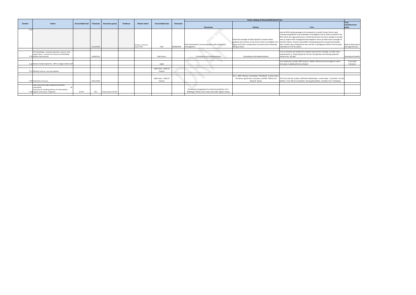|        |                                                                                                                                                                |                              |            |                       |          |                                     |                                |            |                                                                                                                      | Action relating to Directorate/Division/Trust                                                                                            |                                                                                                                                                                                                                                                                                                                                                                                                                                                                                                                                                                                                                     |                                |
|--------|----------------------------------------------------------------------------------------------------------------------------------------------------------------|------------------------------|------------|-----------------------|----------|-------------------------------------|--------------------------------|------------|----------------------------------------------------------------------------------------------------------------------|------------------------------------------------------------------------------------------------------------------------------------------|---------------------------------------------------------------------------------------------------------------------------------------------------------------------------------------------------------------------------------------------------------------------------------------------------------------------------------------------------------------------------------------------------------------------------------------------------------------------------------------------------------------------------------------------------------------------------------------------------------------------|--------------------------------|
| Domain | Action                                                                                                                                                         | Accountable lead   Timescale |            | Assurance group       | Evidence | <b>Stretch action</b>               | Accountable lead               | Timescale  |                                                                                                                      |                                                                                                                                          |                                                                                                                                                                                                                                                                                                                                                                                                                                                                                                                                                                                                                     | <b>Trust</b>                   |
|        |                                                                                                                                                                |                              |            |                       |          |                                     |                                |            |                                                                                                                      |                                                                                                                                          |                                                                                                                                                                                                                                                                                                                                                                                                                                                                                                                                                                                                                     | Lead/Assurance                 |
|        |                                                                                                                                                                |                              |            |                       |          |                                     |                                |            | <b>Directorate</b>                                                                                                   | <b>Division</b>                                                                                                                          | <b>Trust</b>                                                                                                                                                                                                                                                                                                                                                                                                                                                                                                                                                                                                        | group                          |
| 5.14   |                                                                                                                                                                |                              | 31/12/2018 |                       |          | Develop an enhanced<br>model of RCA | HoG                            | 30/08/2018 | Each Directorate to ensure adequate staff training RCA                                                               | Divisional oversight and RCA signoff to include further<br>causes and closer consideration of human factors affecting<br>the occurrence. | Internal RCA training package to be reviewed to consider human factors input.<br>Training and guidance to be extended to investigators and to others involved in the<br>RCA review and approval process. Central Governance structure changes to include<br>roles to support RCA investigations/investigators and to provide closer oversight of<br>guidance and scrutiny on the use of 5 why's to establish root final RCA reports. Human Factors/RCA training programme commenced October,<br>with 2 further days scheduled for Nov and Dec. Investigations Officer role has been<br>submitted on Trac for advert | Head of Governance             |
|        |                                                                                                                                                                |                              |            |                       |          |                                     |                                |            | investigations.<br><b>Service</b>                                                                                    |                                                                                                                                          |                                                                                                                                                                                                                                                                                                                                                                                                                                                                                                                                                                                                                     | and Legal Services             |
|        | Q1 methodology - corporate approach, resource, tools,<br>support Query - presume this means QI methodology<br>5.15 (Quality Improvement)                       |                              | 30/04/2019 |                       |          |                                     | Mike Sharon                    |            | Consultation and Implementation                                                                                      | Consultation and Implementation                                                                                                          | Trust to develop and implement a Quality Improvement strategy. Consider other<br>requirements i.e. Project group for roll out, QI expertise and training, potential<br>resource etc. Q1 plan                                                                                                                                                                                                                                                                                                                                                                                                                        | Nursing and Quality            |
|        |                                                                                                                                                                |                              |            |                       |          |                                     |                                |            |                                                                                                                      |                                                                                                                                          |                                                                                                                                                                                                                                                                                                                                                                                                                                                                                                                                                                                                                     |                                |
|        | 5.16 Review of audit programme - QIPP to engage medical staff                                                                                                  |                              |            |                       |          |                                     | Audit                          |            |                                                                                                                      |                                                                                                                                          | Trust Audit plan includes QIPP projects. Medics offered and encouraged to select<br>from plan or additional items relevant                                                                                                                                                                                                                                                                                                                                                                                                                                                                                          | <b>Trust Audit</b><br>Convenor |
|        | 5.17 Monthly round up - key note speakers                                                                                                                      |                              |            |                       |          |                                     | Sally Evans - Head of<br>Comms |            |                                                                                                                      |                                                                                                                                          |                                                                                                                                                                                                                                                                                                                                                                                                                                                                                                                                                                                                                     |                                |
|        |                                                                                                                                                                |                              |            |                       |          |                                     |                                |            |                                                                                                                      |                                                                                                                                          |                                                                                                                                                                                                                                                                                                                                                                                                                                                                                                                                                                                                                     |                                |
|        | 5.18 Celebration of success                                                                                                                                    |                              | 30/11/2018 |                       |          |                                     | Sally Evans - Head of<br>Comms |            |                                                                                                                      | Dv 3 - DMT: Division 3 newsletter "Showboat" to share items<br>of interest, good news, successes, monthly "Above and<br>Beyond" award    | The Trust now has in place, Well Done Wednesday - social media. Trust Brief - all user<br>bulletin, Trust Talk 1/4 newsletter, Nursing Newsletter, monthly, Div 3 "showboat                                                                                                                                                                                                                                                                                                                                                                                                                                         |                                |
|        |                                                                                                                                                                |                              |            |                       |          |                                     |                                |            |                                                                                                                      |                                                                                                                                          |                                                                                                                                                                                                                                                                                                                                                                                                                                                                                                                                                                                                                     |                                |
|        | Local Policy out of date (Chaperone and others<br>unspecified)<br>local policy for handling patients of no fixed abode<br>5.19 migrant community) - Diagnostic | Dir MT                       | TBC        | Policy Group / Div MT |          |                                     |                                |            | Directorate management to review local policies. Dv 3 -<br>Radiology: Policies now in date and under regular review. |                                                                                                                                          |                                                                                                                                                                                                                                                                                                                                                                                                                                                                                                                                                                                                                     |                                |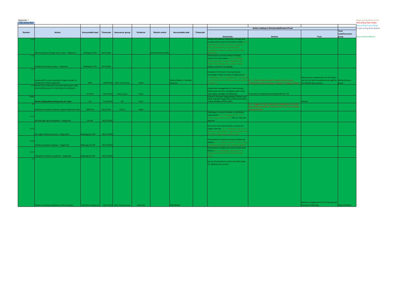| <b>CQC Action Plan</b> |                                                                                                 |                             |            |                               |            |                             |                          |           |                                                                                                   |                                                                                                         |                                                          |                         | <b>Red writing Clair Hobbs</b><br><b>Blue writing Tracy Palmer</b> |
|------------------------|-------------------------------------------------------------------------------------------------|-----------------------------|------------|-------------------------------|------------|-----------------------------|--------------------------|-----------|---------------------------------------------------------------------------------------------------|---------------------------------------------------------------------------------------------------------|----------------------------------------------------------|-------------------------|--------------------------------------------------------------------|
| Domain                 | <b>Action</b>                                                                                   | Accountable lead            |            | Timescale   Assurance group   | Evidence   | <b>Stretch action</b>       | Accountable lead         | Timescale |                                                                                                   | Action relating to Directorate/Division/Trust                                                           |                                                          | Trust                   | <b>Purple writing Nicky Ballard</b>                                |
|                        |                                                                                                 |                             |            |                               |            |                             |                          |           | <b>Directorate</b>                                                                                | <b>Division</b>                                                                                         | <b>Trust</b>                                             | Lead/Assurance<br>group | <b>Green Sandra Roberts</b>                                        |
| 1.1.                   |                                                                                                 |                             |            |                               |            |                             |                          |           | Review and address clean/dirty storage and                                                        |                                                                                                         |                                                          |                         |                                                                    |
|                        |                                                                                                 |                             |            |                               |            |                             |                          |           | include within local environmental audits. Dv 3<br>Radiology: The clean and dirty storage has     |                                                                                                         |                                                          |                         |                                                                    |
|                        |                                                                                                 |                             |            |                               |            |                             |                          |           | been reviewed and is now separated                                                                |                                                                                                         |                                                          |                         |                                                                    |
|                        |                                                                                                 |                             |            |                               |            |                             |                          |           | out. Mixed equipment storage clean in dirty-                                                      |                                                                                                         |                                                          |                         |                                                                    |
|                        | Mixed equipment storage clean in dirty - Diagnostic                                             | Radiology Dir MT 30/11/2018 |            |                               |            | <b>Environmental Audits</b> |                          |           | <b>Diagnostics</b>                                                                                |                                                                                                         |                                                          |                         |                                                                    |
| 1.1.6                  |                                                                                                 |                             |            |                               |            |                             |                          |           | Directorates to ensure robust checking<br>systems for stock expiry. Dv 3 - Radiology:             |                                                                                                         |                                                          |                         |                                                                    |
|                        |                                                                                                 |                             |            |                               |            |                             |                          |           | Checking systems in place. Establish stock                                                        |                                                                                                         |                                                          |                         |                                                                    |
|                        |                                                                                                 |                             |            |                               |            |                             |                          |           | expiry checks Diagnostics- weekly review                                                          |                                                                                                         |                                                          |                         |                                                                    |
|                        | stablish stock expiry checks - Diagnostic                                                       | Radiology Dir MT 30/11/2018 |            |                               |            |                             |                          |           | Audit to confirm it is working.                                                                   |                                                                                                         |                                                          |                         |                                                                    |
| 1.11                   |                                                                                                 |                             |            |                               |            |                             |                          |           | Implement O2 check in local processes                                                             |                                                                                                         |                                                          |                         |                                                                    |
|                        |                                                                                                 |                             |            |                               |            |                             |                          |           | according to Policy (notably in Diagnostics) Dv                                                   |                                                                                                         |                                                          |                         |                                                                    |
|                        |                                                                                                 |                             |            |                               |            |                             |                          |           | 8 - Radiology: SOP in development - Introduce                                                     |                                                                                                         | Review policy requirement for O2 checks                  |                         |                                                                    |
|                        | Develop SOP for local checking of Oxygen cylinders to                                           |                             |            |                               |            |                             | Sandra Roberts / Brendan |           |                                                                                                   | as a SOP and put in to OP86 policy and ratified   Dv 1 - Areas checked as part of quality rounds and no | and roll out with compliance oversight by Medical Gasses |                         |                                                                    |
|                        | omply with national regulation.<br>1.12 Review Dress Code policy and clarify wearing of scrubs, | <b>DMTs</b>                 |            | 18/04/2018 Med. Gases Group   | Audits     |                             | Houston                  |           | n April '18                                                                                       | incidents have been reported in regards to Oxygen cylinders $\vert$ the Medical gases group.            |                                                          | roup                    |                                                                    |
|                        | and establish process for observing non compliance                                              |                             |            |                               |            |                             |                          |           | Directorate management to communicate,                                                            |                                                                                                         |                                                          |                         |                                                                    |
|                        |                                                                                                 |                             |            |                               |            |                             |                          |           | enforce and monitor compliance with Dress                                                         |                                                                                                         |                                                          |                         |                                                                    |
|                        |                                                                                                 | Dir WOD                     | 30/11/2018 | <b>Policy Group</b>           | Policy     |                             |                          |           | code policy (notably CCH theatres).                                                               | Trust policy reviewed and amended 4th Oct '18                                                           |                                                          |                         |                                                                    |
| 1.16.1                 |                                                                                                 |                             |            |                               |            |                             |                          |           | (Fiona.P) Revised Safeguarding Children and<br><b>Adult Training Programme commenced which</b>    |                                                                                                         |                                                          |                         |                                                                    |
|                        | Review Safeguarding training policy for scope                                                   | HoS                         | 31/10/2018 | SSG                           | Policy     |                             |                          |           | overs October 2018 to 2021.                                                                       |                                                                                                         | Review                                                   |                         |                                                                    |
|                        |                                                                                                 |                             |            |                               |            |                             |                          |           |                                                                                                   | Dv 1 - Suggest to close. Admissions categorised into related                                            |                                                          |                         |                                                                    |
|                        |                                                                                                 |                             |            |                               |            |                             |                          |           |                                                                                                   | and unrelated conditions. Results so far show we are below                                              |                                                          |                         |                                                                    |
|                        | mplement a review of elective surgical readmission rates                                        | DMD Div1                    | 30/11/2018 | DivGov                        | Audits     |                             |                          |           | Radiology to review/consider accreditation                                                        | national average.                                                                                       |                                                          |                         |                                                                    |
|                        |                                                                                                 |                             |            |                               |            |                             |                          |           | requirement. Dv 3 - Radiology: This is not                                                        |                                                                                                         |                                                          |                         |                                                                    |
| 4.1.3                  |                                                                                                 |                             |            |                               |            |                             |                          |           | being considered at present TMC to note and                                                       |                                                                                                         |                                                          |                         |                                                                    |
|                        | No ISAS sign up/accreditation - Diagnostic                                                      | Dir MT                      | 30/11/2018 |                               |            |                             |                          |           | approve                                                                                           |                                                                                                         |                                                          |                         |                                                                    |
|                        |                                                                                                 |                             |            |                               |            |                             |                          |           |                                                                                                   |                                                                                                         |                                                          |                         |                                                                    |
| 4.1.5                  |                                                                                                 |                             |            |                               |            |                             |                          |           | Document and communicate a process for<br>urgent referrals. Dv 3 - Radiology: There is no         |                                                                                                         |                                                          |                         |                                                                    |
|                        |                                                                                                 |                             |            |                               |            |                             |                          |           | written process for this - urgent request on the                                                  |                                                                                                         |                                                          |                         |                                                                    |
|                        | No urgent referrals process - Diagnostic                                                        | Radiology Dir MT            | 30/11/2018 |                               |            |                             |                          |           | electronic requesting system in place                                                             |                                                                                                         |                                                          |                         |                                                                    |
|                        |                                                                                                 |                             |            |                               |            |                             |                          |           |                                                                                                   |                                                                                                         |                                                          |                         |                                                                    |
| 4.1.6                  |                                                                                                 |                             |            |                               |            |                             |                          |           | Directorate to review the service facility and<br>address Dv 3 - Radiology: SOP 27 is the written |                                                                                                         |                                                          |                         |                                                                    |
|                        | acility for patient isolation - Diagnostic                                                      | Radiology Dir MT            | 30/11/2018 |                               |            |                             |                          |           | procedure for patients who require isolation                                                      |                                                                                                         |                                                          |                         |                                                                    |
|                        |                                                                                                 |                             |            |                               |            |                             |                          |           | Directorate to review the service facility and                                                    |                                                                                                         |                                                          |                         |                                                                    |
| 4.1.7                  |                                                                                                 |                             |            |                               |            |                             |                          |           | address Dv 3 - Radiology: Interpreters are                                                        |                                                                                                         |                                                          |                         |                                                                    |
|                        | nterpreter facility for patients - Diagnostic                                                   | Radiology Dir MT            | 30/11/2018 |                               |            |                             |                          |           | booked in line with the Trust Interpreting<br>olicy                                               |                                                                                                         |                                                          |                         |                                                                    |
|                        |                                                                                                 |                             |            |                               |            |                             |                          |           |                                                                                                   |                                                                                                         |                                                          |                         |                                                                    |
|                        |                                                                                                 |                             |            |                               |            |                             |                          |           | Ensure all equipment checks are within date -                                                     |                                                                                                         |                                                          |                         |                                                                    |
|                        |                                                                                                 |                             |            |                               |            |                             |                          |           | ED, Medical core service.                                                                         |                                                                                                         |                                                          |                         |                                                                    |
|                        |                                                                                                 |                             |            |                               |            |                             |                          |           |                                                                                                   |                                                                                                         |                                                          |                         |                                                                    |
|                        |                                                                                                 |                             |            |                               |            |                             |                          |           |                                                                                                   |                                                                                                         |                                                          |                         |                                                                    |
|                        |                                                                                                 |                             |            |                               |            |                             |                          |           |                                                                                                   |                                                                                                         |                                                          |                         |                                                                    |
|                        |                                                                                                 |                             |            |                               |            |                             |                          |           |                                                                                                   |                                                                                                         |                                                          |                         |                                                                    |
|                        |                                                                                                 |                             |            |                               |            |                             |                          |           |                                                                                                   |                                                                                                         |                                                          |                         |                                                                    |
|                        |                                                                                                 |                             |            |                               |            |                             |                          |           |                                                                                                   |                                                                                                         |                                                          |                         |                                                                    |
|                        |                                                                                                 |                             |            |                               |            |                             |                          |           |                                                                                                   |                                                                                                         |                                                          |                         |                                                                    |
|                        |                                                                                                 |                             |            |                               |            |                             |                          |           |                                                                                                   |                                                                                                         |                                                          |                         |                                                                    |
|                        |                                                                                                 |                             |            |                               |            |                             |                          |           |                                                                                                   |                                                                                                         |                                                          |                         |                                                                    |
|                        |                                                                                                 |                             |            |                               |            |                             |                          |           |                                                                                                   |                                                                                                         |                                                          |                         |                                                                    |
|                        |                                                                                                 |                             |            |                               |            |                             |                          |           |                                                                                                   |                                                                                                         | Review arrangements for PAT testing and                  |                         |                                                                    |
|                        | tem of assuring compliance to PAT test policy                                                   | Head Med. Equipment         |            | 30/11/2018 Med. Devices Group | Audit data |                             | ob Millard               |           |                                                                                                   |                                                                                                         | surance reporting.                                       | ead of Estates          |                                                                    |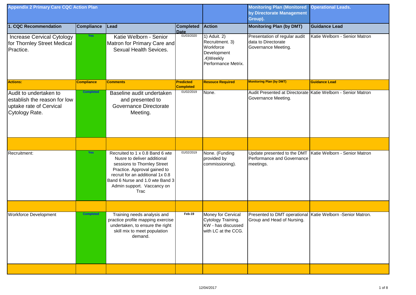| <b>Appendix 2 Primary Care CQC Action Plan</b>                                                       |                   |                                                                                                                                                                                                                                                   |                                      |                                                                                                 | <b>Monitoring Plan (Monitored</b><br>by Directorate Management<br>Group).   | <b>Operational Leads.</b>                                    |
|------------------------------------------------------------------------------------------------------|-------------------|---------------------------------------------------------------------------------------------------------------------------------------------------------------------------------------------------------------------------------------------------|--------------------------------------|-------------------------------------------------------------------------------------------------|-----------------------------------------------------------------------------|--------------------------------------------------------------|
| 1. CQC Recommendation                                                                                | <b>Compliance</b> | Lead                                                                                                                                                                                                                                              | <b>Completed</b>                     | <b>Action</b>                                                                                   | <b>Monitoring Plan (by DMT)</b>                                             | <b>Guidance Lead</b>                                         |
| <b>Increase Cervical Cytology</b><br>for Thornley Street Medical<br>Practice.                        | Yes               | Katie Welborn - Senior<br>Matron for Primary Care and<br><b>Sexual Health Sevices.</b>                                                                                                                                                            | Date<br>01/03/2020                   | 1) Aduit. 2)<br>Recruitment. 3)<br>Workforce<br>Development<br>.4)Weekly<br>Performance Metrix. | Presentation of regular audit<br>data to Directorate<br>Governance Meeting. | Katie Welborn - Senior Matron                                |
| <b>Actions:</b>                                                                                      | <b>Compliance</b> | <b>Comments</b>                                                                                                                                                                                                                                   | <b>Predicted</b><br><b>Completed</b> | <b>Resouce Required</b>                                                                         | <b>Monitoring Plan (by DMT)</b>                                             | <b>Guidance Lead</b>                                         |
| Audit to undertaken to<br>lestablish the reason for low<br>uptake rate of Cervical<br>Cytology Rate. | <b>Completed</b>  | Baseline audit undertaken<br>and presented to<br>Governance Directorate<br>Meeting.                                                                                                                                                               | 01/02/2019                           | None.                                                                                           | Governance Meeting.                                                         | Audit Presented at Directorate Katie Welborn - Senior Matron |
|                                                                                                      |                   |                                                                                                                                                                                                                                                   |                                      |                                                                                                 |                                                                             |                                                              |
| Recruitment:                                                                                         | <b>Yes</b>        | Recruited to 1 x 0.8 Band 6 wte<br>Nusre to deliver additional<br>sessions to Thornley Street<br>Practice. Approval gained to<br>recruit for an additional 1x 0.8<br>Band 6 Nurse and 1.0 wte Band 3<br>Admin support. Vaccancy on<br><b>Trac</b> | 01/02/2019                           | None. (Funding<br>provided by<br>commissioning).                                                | Performance and Governance<br>meetings.                                     | Update presented to the DMT Katie Welborn - Senior Matron    |
|                                                                                                      |                   |                                                                                                                                                                                                                                                   |                                      |                                                                                                 |                                                                             |                                                              |
| <b>Workforce Development</b>                                                                         | <b>Completed</b>  | Training needs analysis and<br>practice profile mapping exercise<br>undertaken, to ensure the right<br>skill mix to meet population<br>demand.                                                                                                    | Feb-19                               | Money for Cervical<br>Cytology Training.<br>KW - has discussed<br>with LC at the CCG.           | Group and Head of Nursing.                                                  | Presented to DMT operational Katie Welborn -Senior Matron.   |
|                                                                                                      |                   |                                                                                                                                                                                                                                                   |                                      |                                                                                                 |                                                                             |                                                              |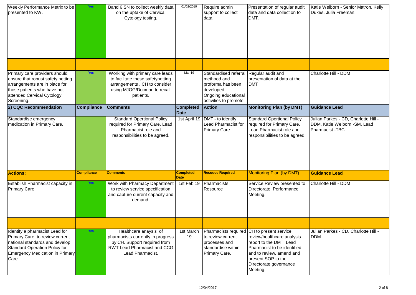| <b>Weekly Performance Metrix to be</b><br>presented to KW.                                                                                                                              | <b>Yes</b>        | Band 6 SN to collect weekly data<br>on the uptake of Cervical<br>Cytology testing.                                                                   | 01/02/2019                      | Require admin<br>support to collect<br>data.                                                                                              | Presentation of regular audit<br>data and data collection to<br>DMT.                                                                                                                                                       | Katie Welborn - Senior Matron. Kelly<br>Dukes, Julia Freeman.                             |
|-----------------------------------------------------------------------------------------------------------------------------------------------------------------------------------------|-------------------|------------------------------------------------------------------------------------------------------------------------------------------------------|---------------------------------|-------------------------------------------------------------------------------------------------------------------------------------------|----------------------------------------------------------------------------------------------------------------------------------------------------------------------------------------------------------------------------|-------------------------------------------------------------------------------------------|
|                                                                                                                                                                                         |                   |                                                                                                                                                      |                                 |                                                                                                                                           |                                                                                                                                                                                                                            |                                                                                           |
| Primary care providers should<br>ensure that robust safety netting<br>arrangements are in place for<br>those patients who have not<br>attended Cervical Cytology<br>Screening.          | <b>Yes</b>        | Working with primary care leads<br>to facilitate these safetynetting<br>arrangements . CH to consider<br>using MJOG/Docman to recall<br>patients.    | $Mar-19$                        | Standardised referral Regular audit and<br>methood and<br>proforma has been<br>developed.<br>Ongoing educational<br>activities to promote | presentation of data at the<br><b>DMT</b>                                                                                                                                                                                  | Charlotte Hill - DDM                                                                      |
| 2) CQC Recommendation                                                                                                                                                                   | <b>Compliance</b> | <b>Comments</b>                                                                                                                                      | <b>Completed</b><br>Date        | <b>Action</b>                                                                                                                             | <b>Monitoring Plan (by DMT)</b>                                                                                                                                                                                            | <b>Guidance Lead</b>                                                                      |
| Standardise emergency<br>medication in Primary Care.                                                                                                                                    |                   | <b>Standard Opertional Policy</b><br>required for Primary Care. Lead<br>Pharmacist role and<br>responsibilities to be agreed.                        | 1st April 19                    | DMT - to identify<br><b>Lead Pharmacist for</b><br>Primary Care.                                                                          | <b>Standard Opertional Policy</b><br>required for Primary Care.<br>Lead Pharmacist role and<br>responsibilities to be agreed.                                                                                              | Julian Parkes - CD, Charlotte Hill -<br>DDM, Katie Welborn - SM, Lead<br>Pharmacist -TBC. |
| <b>Actions:</b>                                                                                                                                                                         | <b>Compliance</b> | <b>Comments</b>                                                                                                                                      | <b>Completed</b><br><b>Date</b> | <b>Resouce Required</b>                                                                                                                   | Monitoring Plan (by DMT)                                                                                                                                                                                                   | <b>Guidance Lead</b>                                                                      |
| <b>Establish Pharmacist capacity in</b><br>Primary Care.                                                                                                                                | <b>Yes</b>        | Work with Pharmacy Department<br>to review service specification<br>and capture current capacity and<br>demand.                                      | 1st Feb 19                      | Pharmacists<br>Resource                                                                                                                   | Service Review presented to<br>Directorate Performance<br>Meeting.                                                                                                                                                         | Charlotte Hill - DDM                                                                      |
|                                                                                                                                                                                         |                   |                                                                                                                                                      |                                 |                                                                                                                                           |                                                                                                                                                                                                                            |                                                                                           |
| Identify a pharmacist Lead for<br>Primary Care, to review current<br>national standards and develop<br>Standard Operation Policy for<br><b>Emergency Medication in Primary</b><br>Care. | <b>Yes</b>        | Healthcare anaysis of<br>pharmacists currently in progress<br>by CH. Support required from<br><b>RWT Lead Pharmacist and CCG</b><br>Lead Pharmacist. | 1st March<br>19                 | to review current<br>processes and<br>standardise within<br>Primary Care.                                                                 | Pharmacists required CH to present service<br>review/healthcare analysis<br>report to the DMT. Lead<br>Pharmacist to be identified<br>and to review, amend and<br>present SOP to the<br>Directorate governance<br>Meeting. | Julian Parkes - CD. Charlotte Hill -<br><b>DDM</b>                                        |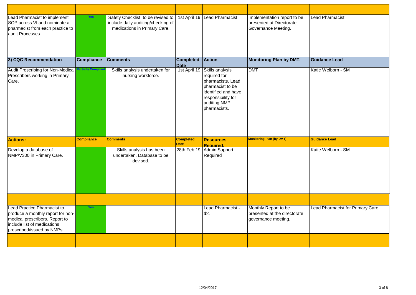| Lead Pharmacist to implement<br>SOP across VI and nominate a<br>pharmacist from each practice to<br>audit Processes.                                            | <b>Yes</b>                | Safety Checklist to be revised to<br>include daily auditing/checking of<br>medications in Primary Care. |                                 | 1st April 19 Lead Pharmacist                                                                                                                          | Implementation report to be<br>presented at Directorate<br>Governance Meeting. | Lead Pharmacist.                 |
|-----------------------------------------------------------------------------------------------------------------------------------------------------------------|---------------------------|---------------------------------------------------------------------------------------------------------|---------------------------------|-------------------------------------------------------------------------------------------------------------------------------------------------------|--------------------------------------------------------------------------------|----------------------------------|
| 3) CQC Recommendation                                                                                                                                           | <b>Compliance</b>         | <b>Comments</b>                                                                                         | <b>Completed</b><br><b>Date</b> | <b>Action</b>                                                                                                                                         | <b>Monitoring Plan by DMT.</b>                                                 | <b>Guidance Lead</b>             |
| Audit Prescribing for Non-Medical<br>Prescribers working in Primary<br>Care.                                                                                    | <b>Partially Compliar</b> | Skills analysis undertaken for<br>nursing workforce.                                                    | 1st April 19                    | Skills analysis<br>required for<br>pharmacists. Lead<br>pharmacist to be<br>identified and have<br>responsibility for<br>auditing NMP<br>pharmacists. | <b>DMT</b>                                                                     | Katie Welborn - SM               |
| <b>Actions:</b>                                                                                                                                                 | <b>Compliance</b>         | <b>Comments</b>                                                                                         | <b>Completed</b><br><b>Date</b> | <b>Resources</b><br><b>Required.</b>                                                                                                                  | <b>Monitoring Plan (by DMT)</b>                                                | <b>Guidance Lead</b>             |
| Develop a database of<br>NMP/V300 in Primary Care.                                                                                                              |                           | Skills analysis has been<br>undertaken. Database to be<br>devised.                                      | 28th Feb 19.                    | Admin Support<br>Required                                                                                                                             |                                                                                | Katie Welborn - SM               |
|                                                                                                                                                                 |                           |                                                                                                         |                                 |                                                                                                                                                       |                                                                                |                                  |
| Lead Practice Pharmacist to<br>produce a monthly report for non-<br>medical prescribers. Report to<br>include list of medications<br>prescribed/issued by NMPs. | <b>Yes</b>                |                                                                                                         |                                 | Lead Pharmacist -<br>tbc                                                                                                                              | Monthly Report to be<br>presented at the directorate<br>governance meeting.    | Lead Pharmacist for Primary Care |
|                                                                                                                                                                 |                           |                                                                                                         |                                 |                                                                                                                                                       |                                                                                |                                  |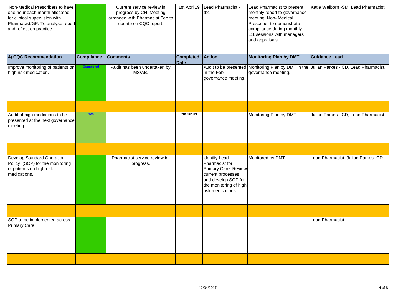| Non-Medical Prescribers to have<br>one hour each month allocated<br>for clinical supervision with<br>Pharmacist/GP. To analyse report<br>and reflect on practice. |                   | Current service review in<br>progress by CH. Meeting<br>arranged with Pharmacist Feb to<br>update on CQC report. | 1st April19                     | Lead Pharmacist -<br>tbc                                                                                                                                  | Lead Pharmacist to present<br>monthly report to governance<br>meeting. Non-Medical<br>Prescriber to demonstrate<br>compliance during monthly<br>1:1 sessions with managers<br>and appraisals. | Katie Welborn - SM, Lead Pharmacist.                                                     |
|-------------------------------------------------------------------------------------------------------------------------------------------------------------------|-------------------|------------------------------------------------------------------------------------------------------------------|---------------------------------|-----------------------------------------------------------------------------------------------------------------------------------------------------------|-----------------------------------------------------------------------------------------------------------------------------------------------------------------------------------------------|------------------------------------------------------------------------------------------|
| 4) CQC Recommendation                                                                                                                                             | <b>Compliance</b> | <b>Comments</b>                                                                                                  | <b>Completed</b><br><b>Date</b> | <b>Action</b>                                                                                                                                             | <b>Monitoring Plan by DMT.</b>                                                                                                                                                                | <b>Guidance Lead</b>                                                                     |
| Improve monitoring of patients on<br>high risk medication.                                                                                                        | <b>Completed</b>  | Audit has been undertaken by<br>MS/AB.                                                                           |                                 | in the Feb<br>governance meeting.                                                                                                                         | governance meeting.                                                                                                                                                                           | Audit to be presented Monitoring Plan by DMT in the Julian Parkes - CD, Lead Pharmacist. |
|                                                                                                                                                                   |                   |                                                                                                                  |                                 |                                                                                                                                                           |                                                                                                                                                                                               |                                                                                          |
| Audit of high mediations to be<br>presented at the next governance<br>meeting.                                                                                    | Yes               |                                                                                                                  | 28/02/2019                      |                                                                                                                                                           | Monitoring Plan by DMT.                                                                                                                                                                       | Julian Parkes - CD, Lead Pharmacist.                                                     |
|                                                                                                                                                                   |                   |                                                                                                                  |                                 |                                                                                                                                                           |                                                                                                                                                                                               |                                                                                          |
| Develop Standard Operation<br>Policy (SOP) for the monitoring<br>of patients on high risk<br>medications.                                                         |                   | Pharmacist service review in-<br>progress.                                                                       |                                 | <b>Identify Lead</b><br>Pharmacist for<br>Primary Care. Review<br>current processes<br>and develop SOP for<br>the monitoring of high<br>risk medications. | Monitored by DMT                                                                                                                                                                              | Lead Pharmacist, Julian Parkes -CD                                                       |
|                                                                                                                                                                   |                   |                                                                                                                  |                                 |                                                                                                                                                           |                                                                                                                                                                                               |                                                                                          |
| SOP to be implemented across<br>Primary Care.                                                                                                                     |                   |                                                                                                                  |                                 |                                                                                                                                                           |                                                                                                                                                                                               | <b>Lead Pharmacist</b>                                                                   |
|                                                                                                                                                                   |                   |                                                                                                                  |                                 |                                                                                                                                                           |                                                                                                                                                                                               |                                                                                          |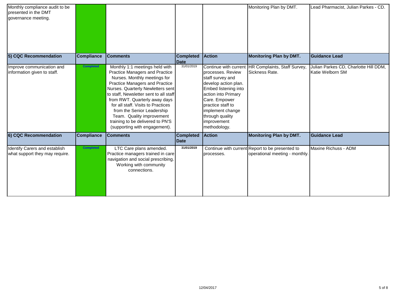| Monthly compliance audit to be<br>presented in the DMT<br>governance meeting. |                   |                                                                                                                                                                                                                                                                                                                                                                                                                                        |                                 |                                                                                                                                                                                                                          | Monitoring Plan by DMT.                                                           | Lead Pharmacist, Julian Parkes - CD.                      |
|-------------------------------------------------------------------------------|-------------------|----------------------------------------------------------------------------------------------------------------------------------------------------------------------------------------------------------------------------------------------------------------------------------------------------------------------------------------------------------------------------------------------------------------------------------------|---------------------------------|--------------------------------------------------------------------------------------------------------------------------------------------------------------------------------------------------------------------------|-----------------------------------------------------------------------------------|-----------------------------------------------------------|
| 5) CQC Recommendation                                                         | <b>Compliance</b> | <b>Comments</b>                                                                                                                                                                                                                                                                                                                                                                                                                        | <b>Completed</b><br>Date        | <b>Action</b>                                                                                                                                                                                                            | <b>Monitoring Plan by DMT.</b>                                                    | <b>Guidance Lead</b>                                      |
| Improve communication and<br>information given to staff.                      | <b>Completed</b>  | Monthly 1:1 meetings held with<br><b>Practice Managers and Practice</b><br>Nurses. Monthly meetings for<br><b>Practice Managers and Practice</b><br>Nurses. Quarterly Newletters sent<br>to staff, Newsletter sent to all staff<br>from RWT. Quarterly away days<br>for all staff. Visits to Practices<br>from the Senior Leadership<br>Team. Quality improvement<br>training to be delivered to PN'S<br>(supporting with engagement). | 31/01/2019                      | processes. Review<br>staff survey and<br>develop action plan.<br>Embed listening into<br>action into Primary<br>Care. Empower<br>practice staff to<br>implement change<br>through quality<br>improvement<br>methodology. | Continue with current HR Complaints, Staff Survey,<br>Sickness Rate.              | Julian Parkes CD, Charlotte Hill DDM,<br>Katie Welborn SM |
| 6) CQC Recommendation                                                         | <b>Compliance</b> | <b>Comments</b>                                                                                                                                                                                                                                                                                                                                                                                                                        | <b>Completed</b><br><b>Date</b> | <b>Action</b>                                                                                                                                                                                                            | <b>Monitoring Plan by DMT.</b>                                                    | <b>Guidance Lead</b>                                      |
| <b>Identify Carers and establish</b><br>what support they may require.        | <b>Completed</b>  | LTC Care plans amended.<br>Practice managers trained in care<br>navigation and social prescribing.<br>Working with community<br>connections.                                                                                                                                                                                                                                                                                           | 31/01/2019                      | processes.                                                                                                                                                                                                               | Continue with current Report to be presented to<br>operational meeting - monthly. | Maxine Richuss - ADM                                      |